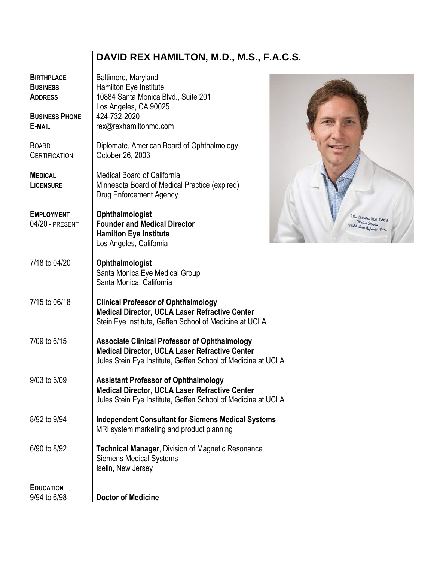## **DAVID REX HAMILTON, M.D., M.S., F.A.C.S.**

| <b>BIRTHPLACE</b><br><b>BUSINESS</b><br><b>ADDRESS</b> | Baltimore, Maryland<br>Hamilton Eye Institute<br>10884 Santa Monica Blvd., Suite 201<br>Los Angeles, CA 90025                                                                 |
|--------------------------------------------------------|-------------------------------------------------------------------------------------------------------------------------------------------------------------------------------|
| <b>BUSINESS PHONE</b><br>E-MAIL                        | 424-732-2020<br>rex@rexhamiltonmd.com                                                                                                                                         |
| <b>BOARD</b><br><b>CERTIFICATION</b>                   | Diplomate, American Board of Ophthalmology<br>October 26, 2003                                                                                                                |
| <b>MEDICAL</b><br><b>LICENSURE</b>                     | <b>Medical Board of California</b><br>Minnesota Board of Medical Practice (expired)<br><b>Drug Enforcement Agency</b>                                                         |
| <b>EMPLOYMENT</b><br>04/20 - PRESENT                   | <b>Ophthalmologist</b><br>Rea Hemilton MD FAC.<br><b>Founder and Medical Director</b><br><b>Hamilton Eye Institute</b><br>Los Angeles, California                             |
| 7/18 to 04/20                                          | <b>Ophthalmologist</b><br>Santa Monica Eye Medical Group<br>Santa Monica, California                                                                                          |
| 7/15 to 06/18                                          | <b>Clinical Professor of Ophthalmology</b><br><b>Medical Director, UCLA Laser Refractive Center</b><br>Stein Eye Institute, Geffen School of Medicine at UCLA                 |
| 7/09 to 6/15                                           | <b>Associate Clinical Professor of Ophthalmology</b><br><b>Medical Director, UCLA Laser Refractive Center</b><br>Jules Stein Eye Institute, Geffen School of Medicine at UCLA |
| 9/03 to 6/09                                           | <b>Assistant Professor of Ophthalmology</b><br>Medical Director, UCLA Laser Refractive Center<br>Jules Stein Eye Institute, Geffen School of Medicine at UCLA                 |
| 8/92 to 9/94                                           | <b>Independent Consultant for Siemens Medical Systems</b><br>MRI system marketing and product planning                                                                        |
| 6/90 to 8/92                                           | Technical Manager, Division of Magnetic Resonance<br><b>Siemens Medical Systems</b><br>Iselin, New Jersey                                                                     |
| <b>EDUCATION</b><br>9/94 to 6/98                       | <b>Doctor of Medicine</b>                                                                                                                                                     |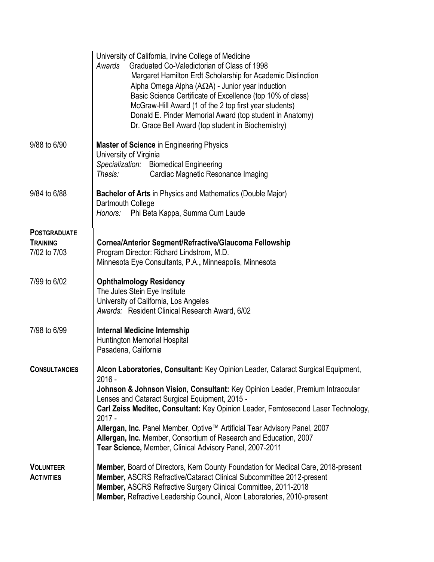|                                                        | University of California, Irvine College of Medicine<br>Graduated Co-Valedictorian of Class of 1998<br>Awards<br>Margaret Hamilton Erdt Scholarship for Academic Distinction<br>Alpha Omega Alpha (A $\Omega$ A) - Junior year induction<br>Basic Science Certificate of Excellence (top 10% of class)<br>McGraw-Hill Award (1 of the 2 top first year students)<br>Donald E. Pinder Memorial Award (top student in Anatomy)<br>Dr. Grace Bell Award (top student in Biochemistry)                                                             |
|--------------------------------------------------------|------------------------------------------------------------------------------------------------------------------------------------------------------------------------------------------------------------------------------------------------------------------------------------------------------------------------------------------------------------------------------------------------------------------------------------------------------------------------------------------------------------------------------------------------|
| 9/88 to 6/90                                           | <b>Master of Science in Engineering Physics</b><br>University of Virginia<br>Specialization: Biomedical Engineering<br>Thesis:<br>Cardiac Magnetic Resonance Imaging                                                                                                                                                                                                                                                                                                                                                                           |
| 9/84 to 6/88                                           | <b>Bachelor of Arts in Physics and Mathematics (Double Major)</b><br>Dartmouth College<br>Honors: Phi Beta Kappa, Summa Cum Laude                                                                                                                                                                                                                                                                                                                                                                                                              |
| <b>POSTGRADUATE</b><br><b>TRAINING</b><br>7/02 to 7/03 | Cornea/Anterior Segment/Refractive/Glaucoma Fellowship<br>Program Director: Richard Lindstrom, M.D.<br>Minnesota Eye Consultants, P.A., Minneapolis, Minnesota                                                                                                                                                                                                                                                                                                                                                                                 |
| 7/99 to 6/02                                           | <b>Ophthalmology Residency</b><br>The Jules Stein Eye Institute<br>University of California, Los Angeles<br>Awards: Resident Clinical Research Award, 6/02                                                                                                                                                                                                                                                                                                                                                                                     |
| 7/98 to 6/99                                           | <b>Internal Medicine Internship</b><br><b>Huntington Memorial Hospital</b><br>Pasadena, California                                                                                                                                                                                                                                                                                                                                                                                                                                             |
| <b>CONSULTANCIES</b>                                   | Alcon Laboratories, Consultant: Key Opinion Leader, Cataract Surgical Equipment,<br>$2016 -$<br>Johnson & Johnson Vision, Consultant: Key Opinion Leader, Premium Intraocular<br>Lenses and Cataract Surgical Equipment, 2015 -<br>Carl Zeiss Meditec, Consultant: Key Opinion Leader, Femtosecond Laser Technology,<br>$2017 -$<br>Allergan, Inc. Panel Member, Optive™ Artificial Tear Advisory Panel, 2007<br>Allergan, Inc. Member, Consortium of Research and Education, 2007<br>Tear Science, Member, Clinical Advisory Panel, 2007-2011 |
| <b>VOLUNTEER</b><br><b>ACTIVITIES</b>                  | Member, Board of Directors, Kern County Foundation for Medical Care, 2018-present<br>Member, ASCRS Refractive/Cataract Clinical Subcommittee 2012-present<br>Member, ASCRS Refractive Surgery Clinical Committee, 2011-2018<br>Member, Refractive Leadership Council, Alcon Laboratories, 2010-present                                                                                                                                                                                                                                         |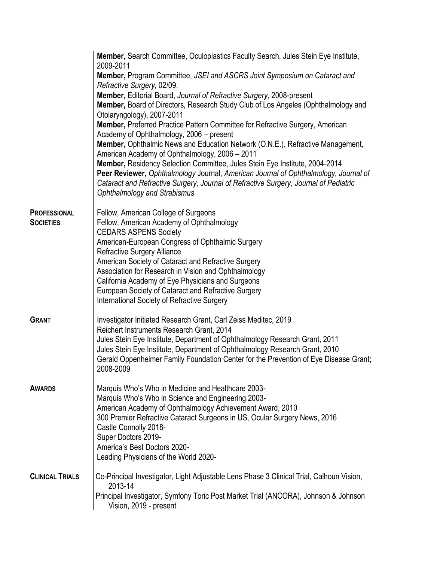| Member, Program Committee, JSEI and ASCRS Joint Symposium on Cataract and<br>Refractive Surgery, 02/09.<br>Member, Editorial Board, Journal of Refractive Surgery, 2008-present<br>Member, Board of Directors, Research Study Club of Los Angeles (Ophthalmology and<br>Otolaryngology), 2007-2011<br>Member, Preferred Practice Pattern Committee for Refractive Surgery, American<br>Academy of Ophthalmology, 2006 - present<br>Member, Ophthalmic News and Education Network (O.N.E.), Refractive Management,<br>American Academy of Ophthalmology, 2006 - 2011<br>Member, Residency Selection Committee, Jules Stein Eye Institute, 2004-2014<br>Peer Reviewer, Ophthalmology Journal, American Journal of Ophthalmology, Journal of<br>Cataract and Refractive Surgery, Journal of Refractive Surgery, Journal of Pediatric<br><b>Ophthalmology and Strabismus</b><br>Fellow, American College of Surgeons<br><b>PROFESSIONAL</b><br>Fellow, American Academy of Ophthalmology<br><b>SOCIETIES</b><br><b>CEDARS ASPENS Society</b><br>American-European Congress of Ophthalmic Surgery<br><b>Refractive Surgery Alliance</b><br>American Society of Cataract and Refractive Surgery<br>Association for Research in Vision and Ophthalmology<br>California Academy of Eye Physicians and Surgeons<br>European Society of Cataract and Refractive Surgery<br>International Society of Refractive Surgery<br>Investigator Initiated Research Grant, Carl Zeiss Meditec, 2019<br><b>GRANT</b><br>Reichert Instruments Research Grant, 2014<br>Jules Stein Eye Institute, Department of Ophthalmology Research Grant, 2011<br>Jules Stein Eye Institute, Department of Ophthalmology Research Grant, 2010<br>Gerald Oppenheimer Family Foundation Center for the Prevention of Eye Disease Grant;<br>2008-2009<br>Marquis Who's Who in Medicine and Healthcare 2003-<br><b>AWARDS</b><br>Marquis Who's Who in Science and Engineering 2003-<br>American Academy of Ophthalmology Achievement Award, 2010 | Member, Search Committee, Oculoplastics Faculty Search, Jules Stein Eye Institute,<br>2009-2011 |
|-----------------------------------------------------------------------------------------------------------------------------------------------------------------------------------------------------------------------------------------------------------------------------------------------------------------------------------------------------------------------------------------------------------------------------------------------------------------------------------------------------------------------------------------------------------------------------------------------------------------------------------------------------------------------------------------------------------------------------------------------------------------------------------------------------------------------------------------------------------------------------------------------------------------------------------------------------------------------------------------------------------------------------------------------------------------------------------------------------------------------------------------------------------------------------------------------------------------------------------------------------------------------------------------------------------------------------------------------------------------------------------------------------------------------------------------------------------------------------------------------------------------------------------------------------------------------------------------------------------------------------------------------------------------------------------------------------------------------------------------------------------------------------------------------------------------------------------------------------------------------------------------------------------------------------------------------------------------------------------------------------------|-------------------------------------------------------------------------------------------------|
|                                                                                                                                                                                                                                                                                                                                                                                                                                                                                                                                                                                                                                                                                                                                                                                                                                                                                                                                                                                                                                                                                                                                                                                                                                                                                                                                                                                                                                                                                                                                                                                                                                                                                                                                                                                                                                                                                                                                                                                                           |                                                                                                 |
|                                                                                                                                                                                                                                                                                                                                                                                                                                                                                                                                                                                                                                                                                                                                                                                                                                                                                                                                                                                                                                                                                                                                                                                                                                                                                                                                                                                                                                                                                                                                                                                                                                                                                                                                                                                                                                                                                                                                                                                                           |                                                                                                 |
|                                                                                                                                                                                                                                                                                                                                                                                                                                                                                                                                                                                                                                                                                                                                                                                                                                                                                                                                                                                                                                                                                                                                                                                                                                                                                                                                                                                                                                                                                                                                                                                                                                                                                                                                                                                                                                                                                                                                                                                                           |                                                                                                 |
|                                                                                                                                                                                                                                                                                                                                                                                                                                                                                                                                                                                                                                                                                                                                                                                                                                                                                                                                                                                                                                                                                                                                                                                                                                                                                                                                                                                                                                                                                                                                                                                                                                                                                                                                                                                                                                                                                                                                                                                                           |                                                                                                 |
|                                                                                                                                                                                                                                                                                                                                                                                                                                                                                                                                                                                                                                                                                                                                                                                                                                                                                                                                                                                                                                                                                                                                                                                                                                                                                                                                                                                                                                                                                                                                                                                                                                                                                                                                                                                                                                                                                                                                                                                                           |                                                                                                 |
|                                                                                                                                                                                                                                                                                                                                                                                                                                                                                                                                                                                                                                                                                                                                                                                                                                                                                                                                                                                                                                                                                                                                                                                                                                                                                                                                                                                                                                                                                                                                                                                                                                                                                                                                                                                                                                                                                                                                                                                                           |                                                                                                 |
|                                                                                                                                                                                                                                                                                                                                                                                                                                                                                                                                                                                                                                                                                                                                                                                                                                                                                                                                                                                                                                                                                                                                                                                                                                                                                                                                                                                                                                                                                                                                                                                                                                                                                                                                                                                                                                                                                                                                                                                                           |                                                                                                 |
|                                                                                                                                                                                                                                                                                                                                                                                                                                                                                                                                                                                                                                                                                                                                                                                                                                                                                                                                                                                                                                                                                                                                                                                                                                                                                                                                                                                                                                                                                                                                                                                                                                                                                                                                                                                                                                                                                                                                                                                                           |                                                                                                 |
|                                                                                                                                                                                                                                                                                                                                                                                                                                                                                                                                                                                                                                                                                                                                                                                                                                                                                                                                                                                                                                                                                                                                                                                                                                                                                                                                                                                                                                                                                                                                                                                                                                                                                                                                                                                                                                                                                                                                                                                                           |                                                                                                 |
|                                                                                                                                                                                                                                                                                                                                                                                                                                                                                                                                                                                                                                                                                                                                                                                                                                                                                                                                                                                                                                                                                                                                                                                                                                                                                                                                                                                                                                                                                                                                                                                                                                                                                                                                                                                                                                                                                                                                                                                                           |                                                                                                 |
|                                                                                                                                                                                                                                                                                                                                                                                                                                                                                                                                                                                                                                                                                                                                                                                                                                                                                                                                                                                                                                                                                                                                                                                                                                                                                                                                                                                                                                                                                                                                                                                                                                                                                                                                                                                                                                                                                                                                                                                                           |                                                                                                 |
|                                                                                                                                                                                                                                                                                                                                                                                                                                                                                                                                                                                                                                                                                                                                                                                                                                                                                                                                                                                                                                                                                                                                                                                                                                                                                                                                                                                                                                                                                                                                                                                                                                                                                                                                                                                                                                                                                                                                                                                                           |                                                                                                 |
|                                                                                                                                                                                                                                                                                                                                                                                                                                                                                                                                                                                                                                                                                                                                                                                                                                                                                                                                                                                                                                                                                                                                                                                                                                                                                                                                                                                                                                                                                                                                                                                                                                                                                                                                                                                                                                                                                                                                                                                                           |                                                                                                 |
|                                                                                                                                                                                                                                                                                                                                                                                                                                                                                                                                                                                                                                                                                                                                                                                                                                                                                                                                                                                                                                                                                                                                                                                                                                                                                                                                                                                                                                                                                                                                                                                                                                                                                                                                                                                                                                                                                                                                                                                                           |                                                                                                 |
|                                                                                                                                                                                                                                                                                                                                                                                                                                                                                                                                                                                                                                                                                                                                                                                                                                                                                                                                                                                                                                                                                                                                                                                                                                                                                                                                                                                                                                                                                                                                                                                                                                                                                                                                                                                                                                                                                                                                                                                                           |                                                                                                 |
|                                                                                                                                                                                                                                                                                                                                                                                                                                                                                                                                                                                                                                                                                                                                                                                                                                                                                                                                                                                                                                                                                                                                                                                                                                                                                                                                                                                                                                                                                                                                                                                                                                                                                                                                                                                                                                                                                                                                                                                                           |                                                                                                 |
|                                                                                                                                                                                                                                                                                                                                                                                                                                                                                                                                                                                                                                                                                                                                                                                                                                                                                                                                                                                                                                                                                                                                                                                                                                                                                                                                                                                                                                                                                                                                                                                                                                                                                                                                                                                                                                                                                                                                                                                                           |                                                                                                 |
|                                                                                                                                                                                                                                                                                                                                                                                                                                                                                                                                                                                                                                                                                                                                                                                                                                                                                                                                                                                                                                                                                                                                                                                                                                                                                                                                                                                                                                                                                                                                                                                                                                                                                                                                                                                                                                                                                                                                                                                                           |                                                                                                 |
|                                                                                                                                                                                                                                                                                                                                                                                                                                                                                                                                                                                                                                                                                                                                                                                                                                                                                                                                                                                                                                                                                                                                                                                                                                                                                                                                                                                                                                                                                                                                                                                                                                                                                                                                                                                                                                                                                                                                                                                                           |                                                                                                 |
|                                                                                                                                                                                                                                                                                                                                                                                                                                                                                                                                                                                                                                                                                                                                                                                                                                                                                                                                                                                                                                                                                                                                                                                                                                                                                                                                                                                                                                                                                                                                                                                                                                                                                                                                                                                                                                                                                                                                                                                                           |                                                                                                 |
|                                                                                                                                                                                                                                                                                                                                                                                                                                                                                                                                                                                                                                                                                                                                                                                                                                                                                                                                                                                                                                                                                                                                                                                                                                                                                                                                                                                                                                                                                                                                                                                                                                                                                                                                                                                                                                                                                                                                                                                                           |                                                                                                 |
|                                                                                                                                                                                                                                                                                                                                                                                                                                                                                                                                                                                                                                                                                                                                                                                                                                                                                                                                                                                                                                                                                                                                                                                                                                                                                                                                                                                                                                                                                                                                                                                                                                                                                                                                                                                                                                                                                                                                                                                                           |                                                                                                 |
|                                                                                                                                                                                                                                                                                                                                                                                                                                                                                                                                                                                                                                                                                                                                                                                                                                                                                                                                                                                                                                                                                                                                                                                                                                                                                                                                                                                                                                                                                                                                                                                                                                                                                                                                                                                                                                                                                                                                                                                                           |                                                                                                 |
| 300 Premier Refractive Cataract Surgeons in US, Ocular Surgery News, 2016                                                                                                                                                                                                                                                                                                                                                                                                                                                                                                                                                                                                                                                                                                                                                                                                                                                                                                                                                                                                                                                                                                                                                                                                                                                                                                                                                                                                                                                                                                                                                                                                                                                                                                                                                                                                                                                                                                                                 |                                                                                                 |
| Castle Connolly 2018-<br>Super Doctors 2019-                                                                                                                                                                                                                                                                                                                                                                                                                                                                                                                                                                                                                                                                                                                                                                                                                                                                                                                                                                                                                                                                                                                                                                                                                                                                                                                                                                                                                                                                                                                                                                                                                                                                                                                                                                                                                                                                                                                                                              |                                                                                                 |
| America's Best Doctors 2020-                                                                                                                                                                                                                                                                                                                                                                                                                                                                                                                                                                                                                                                                                                                                                                                                                                                                                                                                                                                                                                                                                                                                                                                                                                                                                                                                                                                                                                                                                                                                                                                                                                                                                                                                                                                                                                                                                                                                                                              |                                                                                                 |
| Leading Physicians of the World 2020-                                                                                                                                                                                                                                                                                                                                                                                                                                                                                                                                                                                                                                                                                                                                                                                                                                                                                                                                                                                                                                                                                                                                                                                                                                                                                                                                                                                                                                                                                                                                                                                                                                                                                                                                                                                                                                                                                                                                                                     |                                                                                                 |
| <b>CLINICAL TRIALS</b><br>Co-Principal Investigator, Light Adjustable Lens Phase 3 Clinical Trial, Calhoun Vision,<br>2013-14                                                                                                                                                                                                                                                                                                                                                                                                                                                                                                                                                                                                                                                                                                                                                                                                                                                                                                                                                                                                                                                                                                                                                                                                                                                                                                                                                                                                                                                                                                                                                                                                                                                                                                                                                                                                                                                                             |                                                                                                 |
| Principal Investigator, Symfony Toric Post Market Trial (ANCORA), Johnson & Johnson<br>Vision, 2019 - present                                                                                                                                                                                                                                                                                                                                                                                                                                                                                                                                                                                                                                                                                                                                                                                                                                                                                                                                                                                                                                                                                                                                                                                                                                                                                                                                                                                                                                                                                                                                                                                                                                                                                                                                                                                                                                                                                             |                                                                                                 |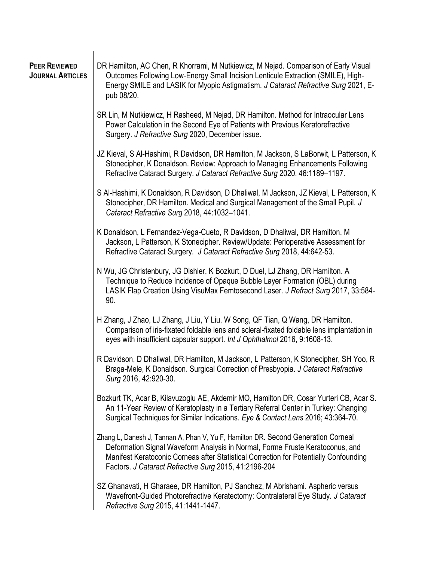| <b>PEER REVIEWED</b><br><b>JOURNAL ARTICLES</b> | DR Hamilton, AC Chen, R Khorrami, M Nutkiewicz, M Nejad. Comparison of Early Visual<br>Outcomes Following Low-Energy Small Incision Lenticule Extraction (SMILE), High-<br>Energy SMILE and LASIK for Myopic Astigmatism. J Cataract Refractive Surg 2021, E-<br>pub 08/20.                                          |
|-------------------------------------------------|----------------------------------------------------------------------------------------------------------------------------------------------------------------------------------------------------------------------------------------------------------------------------------------------------------------------|
|                                                 | SR Lin, M Nutkiewicz, H Rasheed, M Nejad, DR Hamilton. Method for Intraocular Lens<br>Power Calculation in the Second Eye of Patients with Previous Keratorefractive<br>Surgery. J Refractive Surg 2020, December issue.                                                                                             |
|                                                 | JZ Kieval, S Al-Hashimi, R Davidson, DR Hamilton, M Jackson, S LaBorwit, L Patterson, K<br>Stonecipher, K Donaldson. Review: Approach to Managing Enhancements Following<br>Refractive Cataract Surgery. J Cataract Refractive Surg 2020, 46:1189-1197.                                                              |
|                                                 | S Al-Hashimi, K Donaldson, R Davidson, D Dhaliwal, M Jackson, JZ Kieval, L Patterson, K<br>Stonecipher, DR Hamilton. Medical and Surgical Management of the Small Pupil. J<br>Cataract Refractive Surg 2018, 44:1032-1041.                                                                                           |
|                                                 | K Donaldson, L Fernandez-Vega-Cueto, R Davidson, D Dhaliwal, DR Hamilton, M<br>Jackson, L Patterson, K Stonecipher. Review/Update: Perioperative Assessment for<br>Refractive Cataract Surgery. J Cataract Refractive Surg 2018, 44:642-53.                                                                          |
|                                                 | N Wu, JG Christenbury, JG Dishler, K Bozkurt, D Duel, LJ Zhang, DR Hamilton. A<br>Technique to Reduce Incidence of Opaque Bubble Layer Formation (OBL) during<br>LASIK Flap Creation Using VisuMax Femtosecond Laser. J Refract Surg 2017, 33:584-<br>90.                                                            |
|                                                 | H Zhang, J Zhao, LJ Zhang, J Liu, Y Liu, W Song, QF Tian, Q Wang, DR Hamilton.<br>Comparison of iris-fixated foldable lens and scleral-fixated foldable lens implantation in<br>eyes with insufficient capsular support. Int J Ophthalmol 2016, 9:1608-13.                                                           |
|                                                 | R Davidson, D Dhaliwal, DR Hamilton, M Jackson, L Patterson, K Stonecipher, SH Yoo, R<br>Braga-Mele, K Donaldson. Surgical Correction of Presbyopia. J Cataract Refractive<br>Surg 2016, 42:920-30.                                                                                                                  |
|                                                 | Bozkurt TK, Acar B, Kilavuzoglu AE, Akdemir MO, Hamilton DR, Cosar Yurteri CB, Acar S.<br>An 11-Year Review of Keratoplasty in a Tertiary Referral Center in Turkey: Changing<br>Surgical Techniques for Similar Indications. Eye & Contact Lens 2016; 43:364-70.                                                    |
|                                                 | Zhang L, Danesh J, Tannan A, Phan V, Yu F, Hamilton DR. Second Generation Corneal<br>Deformation Signal Waveform Analysis in Normal, Forme Fruste Keratoconus, and<br>Manifest Keratoconic Corneas after Statistical Correction for Potentially Confounding<br>Factors. J Cataract Refractive Surg 2015, 41:2196-204 |
|                                                 | SZ Ghanavati, H Gharaee, DR Hamilton, PJ Sanchez, M Abrishami. Aspheric versus<br>Wavefront-Guided Photorefractive Keratectomy: Contralateral Eye Study. J Cataract<br>Refractive Surg 2015, 41:1441-1447.                                                                                                           |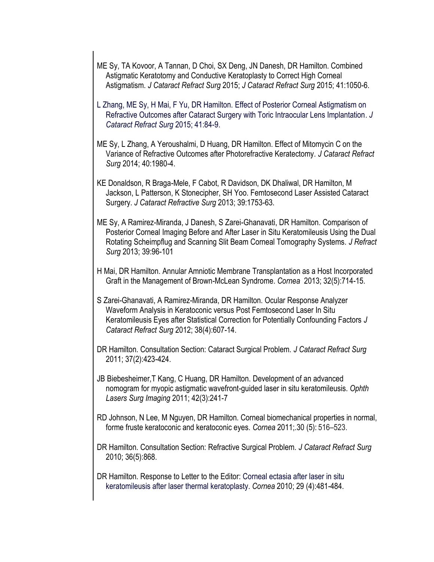- ME Sy, TA Kovoor, A Tannan, D Choi, SX Deng, JN Danesh, DR Hamilton. Combined Astigmatic Keratotomy and Conductive Keratoplasty to Correct High Corneal Astigmatism. *J Cataract Refract Surg* 2015; *J Cataract Refract Surg* 2015; 41:1050-6.
- L Zhang, ME Sy, H Mai, F Yu, DR Hamilton. Effect of Posterior Corneal Astigmatism on Refractive Outcomes after Cataract Surgery with Toric Intraocular Lens Implantation. *J Cataract Refract Surg* 2015; 41:84-9.
- ME Sy, L Zhang, A Yeroushalmi, D Huang, DR Hamilton. Effect of Mitomycin C on the Variance of Refractive Outcomes after Photorefractive Keratectomy. *J Cataract Refract Surg* 2014; 40:1980-4.
- KE Donaldson, R Braga-Mele, F Cabot, R Davidson, DK Dhaliwal, DR Hamilton, M Jackson, L Patterson, K Stonecipher, SH Yoo. Femtosecond Laser Assisted Cataract Surgery. *J Cataract Refractive Surg* 2013; 39:1753-63.
- ME Sy, A Ramirez-Miranda, J Danesh, S Zarei-Ghanavati, DR Hamilton. Comparison of Posterior Corneal Imaging Before and After Laser in Situ Keratomileusis Using the Dual Rotating Scheimpflug and Scanning Slit Beam Corneal Tomography Systems. *J Refract Surg* 2013; 39:96-101
- H Mai, DR Hamilton. Annular Amniotic Membrane Transplantation as a Host Incorporated Graft in the Management of Brown-McLean Syndrome. *Cornea* 2013; 32(5):714-15.
- S Zarei-Ghanavati, A Ramirez-Miranda, DR Hamilton. Ocular Response Analyzer Waveform Analysis in Keratoconic versus Post Femtosecond Laser In Situ Keratomileusis Eyes after Statistical Correction for Potentially Confounding Factors *J Cataract Refract Surg* 2012; 38(4):607-14.
- DR Hamilton. Consultation Section: Cataract Surgical Problem. *J Cataract Refract Surg*  2011; 37(2):423-424.
- JB Biebesheimer,T Kang, C Huang, DR Hamilton. Development of an advanced nomogram for myopic astigmatic wavefront-guided laser in situ keratomileusis. *Ophth Lasers Surg Imaging* 2011; 42(3):241-7
- RD Johnson, N Lee, M Nguyen, DR Hamilton. Corneal biomechanical properties in normal, forme fruste keratoconic and keratoconic eyes. *Cornea* 2011;.30 (5): 516–523.
- DR Hamilton. Consultation Section: Refractive Surgical Problem. *J Cataract Refract Surg*  2010; 36(5):868.

DR Hamilton. Response to Letter to the Editor: Corneal ectasia after laser in situ keratomileusis after laser thermal keratoplasty. *Cornea* 2010; 29 (4):481-484.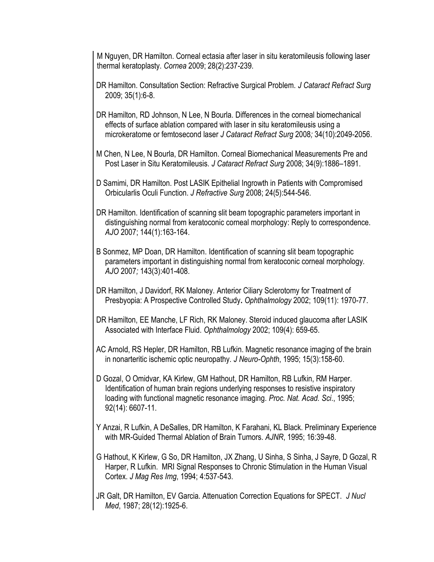M Nguyen, DR Hamilton. Corneal ectasia after laser in situ keratomileusis following laser thermal keratoplasty. *Cornea* 2009; 28(2):237-239.

- DR Hamilton. Consultation Section: Refractive Surgical Problem. *J Cataract Refract Surg*  2009; 35(1):6-8.
- DR Hamilton, RD Johnson, N Lee, N Bourla. Differences in the corneal biomechanical effects of surface ablation compared with laser in situ keratomileusis using a microkeratome or femtosecond laser *J Cataract Refract Surg* 2008*;* 34(10):2049-2056.
- M Chen, N Lee, N Bourla, DR Hamilton. Corneal Biomechanical Measurements Pre and Post Laser in Situ Keratomileusis. *J Cataract Refract Surg* 2008; 34(9):1886–1891.
- D Samimi, DR Hamilton. Post LASIK Epithelial Ingrowth in Patients with Compromised Orbicularlis Oculi Function. *J Refractive Surg* 2008; 24(5):544-546.
- DR Hamilton. Identification of scanning slit beam topographic parameters important in distinguishing normal from keratoconic corneal morphology: Reply to correspondence. *AJO* 2007; 144(1):163-164.
- B Sonmez, MP Doan, DR Hamilton. Identification of scanning slit beam topographic parameters important in distinguishing normal from keratoconic corneal morphology. *AJO* 2007*;* 143(3):401-408.
- DR Hamilton, J Davidorf, RK Maloney. Anterior Ciliary Sclerotomy for Treatment of Presbyopia: A Prospective Controlled Study**.** *Ophthalmology* 2002; 109(11): 1970-77.
- DR Hamilton, EE Manche, LF Rich, RK Maloney. Steroid induced glaucoma after LASIK Associated with Interface Fluid. *Ophthalmology* 2002; 109(4): 659-65.
- AC Arnold, RS Hepler, DR Hamilton, RB Lufkin. Magnetic resonance imaging of the brain in nonarteritic ischemic optic neuropathy. *J Neuro-Ophth*, 1995; 15(3):158-60.
- D Gozal, O Omidvar, KA Kirlew, GM Hathout, DR Hamilton, RB Lufkin, RM Harper. Identification of human brain regions underlying responses to resistive inspiratory loading with functional magnetic resonance imaging. *Proc. Nat. Acad. Sci*., 1995; 92(14): 6607-11.
- Y Anzai, R Lufkin, A DeSalles, DR Hamilton, K Farahani, KL Black. Preliminary Experience with MR-Guided Thermal Ablation of Brain Tumors. *AJNR*, 1995; 16:39-48.
- G Hathout, K Kirlew, G So, DR Hamilton, JX Zhang, U Sinha, S Sinha, J Sayre, D Gozal, R Harper, R Lufkin. MRI Signal Responses to Chronic Stimulation in the Human Visual Cortex. *J Mag Res Img*, 1994; 4:537-543.
- JR Galt, DR Hamilton, EV Garcia. Attenuation Correction Equations for SPECT. *J Nucl Med*, 1987; 28(12):1925-6.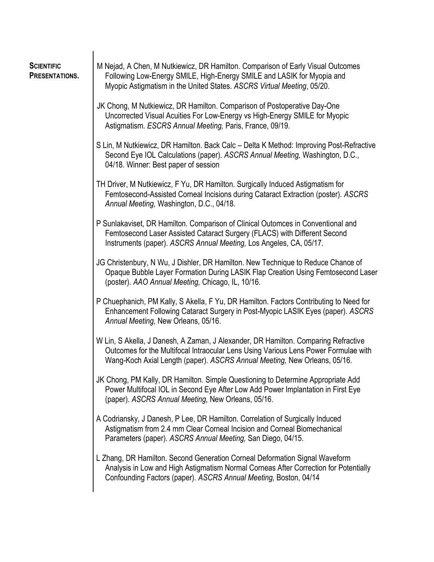| <b>SCIENTIFIC</b><br>PRESENTATIONS. | M Nejad, A Chen, M Nutkiewicz, DR Hamilton. Comparison of Early Visual Outcomes<br>Following Low-Energy SMILE, High-Energy SMILE and LASIK for Myopia and<br>Myopic Astigmatism in the United States. ASCRS Virtual Meeting, 05/20.                    |
|-------------------------------------|--------------------------------------------------------------------------------------------------------------------------------------------------------------------------------------------------------------------------------------------------------|
|                                     | JK Chong, M Nutkiewicz, DR Hamilton. Comparison of Postoperative Day-One<br>Uncorrected Visual Acuities For Low-Energy vs High-Energy SMILE for Myopic<br>Astigmatism. ESCRS Annual Meeting, Paris, France, 09/19.                                     |
|                                     | S Lin, M Nutkiewicz, DR Hamilton. Back Calc - Delta K Method: Improving Post-Refractive<br>Second Eye IOL Calculations (paper). ASCRS Annual Meeting, Washington, D.C.,<br>04/18. Winner: Best paper of session                                        |
|                                     | TH Driver, M Nutkiewicz, F Yu, DR Hamilton. Surgically Induced Astigmatism for<br>Femtosecond-Assisted Corneal Incisions during Cataract Extraction (poster). ASCRS<br>Annual Meeting, Washington, D.C., 04/18.                                        |
|                                     | P Sunlakaviset, DR Hamilton. Comparison of Clinical Outomces in Conventional and<br>Femtosecond Laser Assisted Cataract Surgery (FLACS) with Different Second<br>Instruments (paper). ASCRS Annual Meeting, Los Angeles, CA, 05/17.                    |
|                                     | JG Christenbury, N Wu, J Dishler, DR Hamilton. New Technique to Reduce Chance of<br>Opaque Bubble Layer Formation During LASIK Flap Creation Using Femtosecond Laser<br>(poster). AAO Annual Meeting, Chicago, IL, 10/16.                              |
|                                     | P Chuephanich, PM Kally, S Akella, F Yu, DR Hamilton. Factors Contributing to Need for<br>Enhancement Following Cataract Surgery in Post-Myopic LASIK Eyes (paper). ASCRS<br>Annual Meeting, New Orleans, 05/16.                                       |
|                                     | W Lin, S Akella, J Danesh, A Zaman, J Alexander, DR Hamilton. Comparing Refractive<br>Outcomes for the Multifocal Intraocular Lens Using Various Lens Power Formulae with<br>Wang-Koch Axial Length (paper). ASCRS Annual Meeting, New Orleans, 05/16. |
|                                     | JK Chong, PM Kally, DR Hamilton. Simple Questioning to Determine Appropriate Add<br>Power Multifocal IOL in Second Eye After Low Add Power Implantation in First Eye<br>(paper). ASCRS Annual Meeting, New Orleans, 05/16.                             |
|                                     | A Codriansky, J Danesh, P Lee, DR Hamilton. Correlation of Surgically Induced<br>Astigmatism from 2.4 mm Clear Corneal Incision and Corneal Biomechanical<br>Parameters (paper). ASCRS Annual Meeting, San Diego, 04/15.                               |
|                                     | L Zhang, DR Hamilton. Second Generation Corneal Deformation Signal Waveform<br>Analysis in Low and High Astigmatism Normal Corneas After Correction for Potentially<br>Confounding Factors (paper). ASCRS Annual Meeting, Boston, 04/14                |
|                                     |                                                                                                                                                                                                                                                        |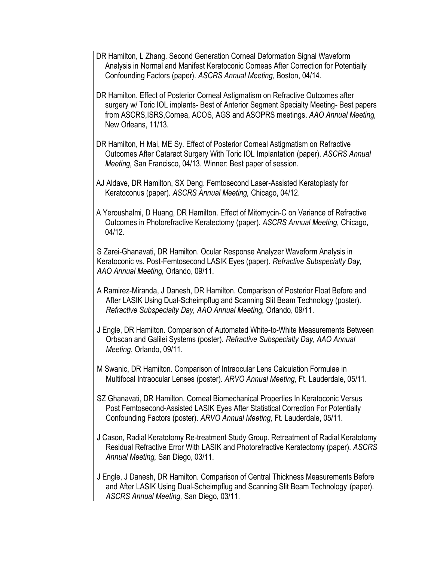- DR Hamilton, L Zhang. Second Generation Corneal Deformation Signal Waveform Analysis in Normal and Manifest Keratoconic Corneas After Correction for Potentially Confounding Factors (paper). *ASCRS Annual Meeting,* Boston, 04/14.
- DR Hamilton. Effect of Posterior Corneal Astigmatism on Refractive Outcomes after surgery w/ Toric IOL implants- Best of Anterior Segment Specialty Meeting- Best papers from ASCRS,ISRS,Cornea, ACOS, AGS and ASOPRS meetings. *AAO Annual Meeting,*  New Orleans, 11/13.
- DR Hamilton, H Mai, ME Sy. Effect of Posterior Corneal Astigmatism on Refractive Outcomes After Cataract Surgery With Toric IOL Implantation (paper). *ASCRS Annual Meeting,* San Francisco, 04/13. Winner: Best paper of session.
- AJ Aldave, DR Hamilton, SX Deng. Femtosecond Laser-Assisted Keratoplasty for Keratoconus (paper). *ASCRS Annual Meeting,* Chicago, 04/12.
- A Yeroushalmi, D Huang, DR Hamilton. Effect of Mitomycin-C on Variance of Refractive Outcomes in Photorefractive Keratectomy (paper). *ASCRS Annual Meeting,* Chicago, 04/12.

S Zarei-Ghanavati, DR Hamilton. Ocular Response Analyzer Waveform Analysis in Keratoconic vs. Post-Femtosecond LASIK Eyes (paper). *Refractive Subspecialty Day, AAO Annual Meeting,* Orlando, 09/11.

- A Ramirez-Miranda, J Danesh, DR Hamilton. Comparison of Posterior Float Before and After LASIK Using Dual-Scheimpflug and Scanning Slit Beam Technology (poster). *Refractive Subspecialty Day, AAO Annual Meeting,* Orlando, 09/11.
- J Engle, DR Hamilton. Comparison of Automated White-to-White Measurements Between Orbscan and Galilei Systems (poster). *Refractive Subspecialty Day, AAO Annual Meeting*, Orlando, 09/11.
- M Swanic, DR Hamilton. Comparison of Intraocular Lens Calculation Formulae in Multifocal Intraocular Lenses (poster). *ARVO Annual Meeting,* Ft. Lauderdale, 05/11.
- SZ Ghanavati, DR Hamilton. Corneal Biomechanical Properties In Keratoconic Versus Post Femtosecond-Assisted LASIK Eyes After Statistical Correction For Potentially Confounding Factors (poster). *ARVO Annual Meeting,* Ft. Lauderdale, 05/11.
- J Cason, Radial Keratotomy Re-treatment Study Group. Retreatment of Radial Keratotomy Residual Refractive Error With LASIK and Photorefractive Keratectomy (paper). *ASCRS Annual Meeting,* San Diego, 03/11.
- J Engle, J Danesh, DR Hamilton. Comparison of Central Thickness Measurements Before and After LASIK Using Dual-Scheimpflug and Scanning Slit Beam Technology (paper). *ASCRS Annual Meeting,* San Diego, 03/11.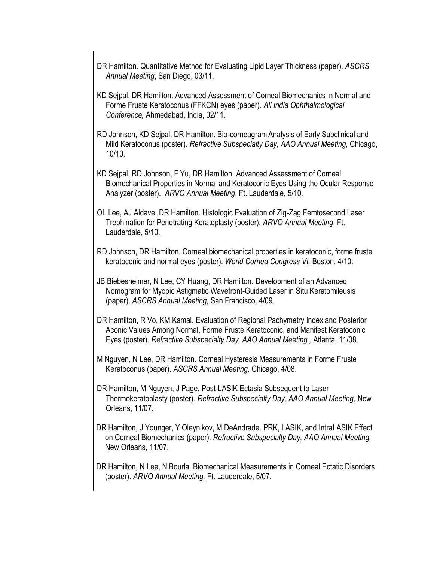- DR Hamilton. Quantitative Method for Evaluating Lipid Layer Thickness (paper). *ASCRS Annual Meeting*, San Diego, 03/11.
- KD Sejpal, DR Hamilton. Advanced Assessment of Corneal Biomechanics in Normal and Forme Fruste Keratoconus (FFKCN) eyes (paper). *All India Ophthalmological Conference,* Ahmedabad, India, 02/11.
- RD Johnson, KD Sejpal, DR Hamilton. Bio-corneagramAnalysis of Early Subclinical and Mild Keratoconus (poster). *Refractive Subspecialty Day, AAO Annual Meeting,* Chicago, 10/10.
- KD Sejpal, RD Johnson, F Yu, DR Hamilton. Advanced Assessment of Corneal Biomechanical Properties in Normal and Keratoconic Eyes Using the Ocular Response Analyzer (poster). *ARVO Annual Meeting*, Ft. Lauderdale, 5/10.
- OL Lee, AJ Aldave, DR Hamilton. Histologic Evaluation of Zig-Zag Femtosecond Laser Trephination for Penetrating Keratoplasty (poster). *ARVO Annual Meeting*, Ft. Lauderdale, 5/10.
- RD Johnson, DR Hamilton. Corneal biomechanical properties in keratoconic, forme fruste keratoconic and normal eyes (poster). *World Cornea Congress VI,* Boston, 4/10.
- JB Biebesheimer, N Lee, CY Huang, DR Hamilton. Development of an Advanced Nomogram for Myopic Astigmatic Wavefront-Guided Laser in Situ Keratomileusis (paper). *ASCRS Annual Meeting,* San Francisco, 4/09.
- DR Hamilton, R Vo, KM Kamal. Evaluation of Regional Pachymetry Index and Posterior Aconic Values Among Normal, Forme Fruste Keratoconic, and Manifest Keratoconic Eyes (poster). *Refractive Subspecialty Day, AAO Annual Meeting ,* Atlanta, 11/08.
- M Nguyen, N Lee, DR Hamilton. Corneal Hysteresis Measurements in Forme Fruste Keratoconus (paper). *ASCRS Annual Meeting,* Chicago, 4/08.
- DR Hamilton, M Nguyen, J Page. Post-LASIK Ectasia Subsequent to Laser Thermokeratoplasty (poster). *Refractive Subspecialty Day, AAO Annual Meeting,* New Orleans, 11/07.
- DR Hamilton, J Younger, Y Oleynikov, M DeAndrade. PRK, LASIK, and IntraLASIK Effect on Corneal Biomechanics (paper). *Refractive Subspecialty Day, AAO Annual Meeting,*  New Orleans, 11/07.
- DR Hamilton, N Lee, N Bourla. Biomechanical Measurements in Corneal Ectatic Disorders (poster). *ARVO Annual Meeting,* Ft. Lauderdale, 5/07.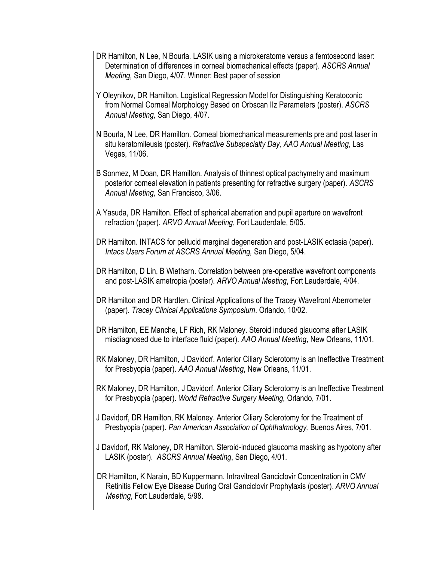- DR Hamilton, N Lee, N Bourla. LASIK using a microkeratome versus a femtosecond laser: Determination of differences in corneal biomechanical effects (paper). *ASCRS Annual Meeting,* San Diego, 4/07. Winner: Best paper of session
- Y Oleynikov, DR Hamilton. Logistical Regression Model for Distinguishing Keratoconic from Normal Corneal Morphology Based on Orbscan IIz Parameters (poster). *ASCRS Annual Meeting,* San Diego, 4/07.
- N Bourla, N Lee, DR Hamilton. Corneal biomechanical measurements pre and post laser in situ keratomileusis (poster). *Refractive Subspecialty Day, AAO Annual Meeting*, Las Vegas, 11/06.
- B Sonmez, M Doan, DR Hamilton. Analysis of thinnest optical pachymetry and maximum posterior corneal elevation in patients presenting for refractive surgery (paper). *ASCRS Annual Meeting,* San Francisco, 3/06.
- A Yasuda, DR Hamilton. Effect of spherical aberration and pupil aperture on wavefront refraction (paper). *ARVO Annual Meeting*, Fort Lauderdale, 5/05.
- DR Hamilton. INTACS for pellucid marginal degeneration and post-LASIK ectasia (paper). *Intacs Users Forum at ASCRS Annual Meeting,* San Diego, 5/04.
- DR Hamilton, D Lin, B Wietharn. Correlation between pre-operative wavefront components and post-LASIK ametropia (poster). *ARVO Annual Meeting*, Fort Lauderdale, 4/04.
- DR Hamilton and DR Hardten. Clinical Applications of the Tracey Wavefront Aberrometer (paper). *Tracey Clinical Applications Symposium*. Orlando, 10/02.
- DR Hamilton, EE Manche, LF Rich, RK Maloney. Steroid induced glaucoma after LASIK misdiagnosed due to interface fluid (paper). *AAO Annual Meeting*, New Orleans, 11/01.
- RK Maloney, DR Hamilton, J Davidorf. Anterior Ciliary Sclerotomy is an Ineffective Treatment for Presbyopia (paper). *AAO Annual Meeting*, New Orleans, 11/01.
- RK Maloney**,** DR Hamilton, J Davidorf. Anterior Ciliary Sclerotomy is an Ineffective Treatment for Presbyopia (paper). *World Refractive Surgery Meeting,* Orlando, 7/01.
- J Davidorf, DR Hamilton, RK Maloney. Anterior Ciliary Sclerotomy for the Treatment of Presbyopia (paper). *Pan American Association of Ophthalmology,* Buenos Aires, 7/01.
- J Davidorf, RK Maloney, DR Hamilton. Steroid-induced glaucoma masking as hypotony after LASIK (poster). *ASCRS Annual Meeting*, San Diego, 4/01.
- DR Hamilton, K Narain, BD Kuppermann. Intravitreal Ganciclovir Concentration in CMV Retinitis Fellow Eye Disease During Oral Ganciclovir Prophylaxis (poster). *ARVO Annual Meeting*, Fort Lauderdale, 5/98.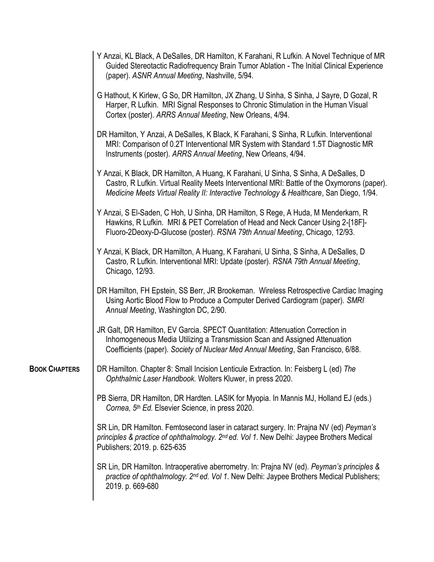|                      | Y Anzai, KL Black, A DeSalles, DR Hamilton, K Farahani, R Lufkin. A Novel Technique of MR<br>Guided Stereotactic Radiofrequency Brain Tumor Ablation - The Initial Clinical Experience<br>(paper). ASNR Annual Meeting, Nashville, 5/94.                                        |
|----------------------|---------------------------------------------------------------------------------------------------------------------------------------------------------------------------------------------------------------------------------------------------------------------------------|
|                      | G Hathout, K Kirlew, G So, DR Hamilton, JX Zhang, U Sinha, S Sinha, J Sayre, D Gozal, R<br>Harper, R Lufkin. MRI Signal Responses to Chronic Stimulation in the Human Visual<br>Cortex (poster). ARRS Annual Meeting, New Orleans, 4/94.                                        |
|                      | DR Hamilton, Y Anzai, A DeSalles, K Black, K Farahani, S Sinha, R Lufkin. Interventional<br>MRI: Comparison of 0.2T Interventional MR System with Standard 1.5T Diagnostic MR<br>Instruments (poster). ARRS Annual Meeting, New Orleans, 4/94.                                  |
|                      | Y Anzai, K Black, DR Hamilton, A Huang, K Farahani, U Sinha, S Sinha, A DeSalles, D<br>Castro, R Lufkin. Virtual Reality Meets Interventional MRI: Battle of the Oxymorons (paper).<br>Medicine Meets Virtual Reality II: Interactive Technology & Healthcare, San Diego, 1/94. |
|                      | Y Anzai, S El-Saden, C Hoh, U Sinha, DR Hamilton, S Rege, A Huda, M Menderkarn, R<br>Hawkins, R Lufkin. MRI & PET Correlation of Head and Neck Cancer Using 2-[18F]-<br>Fluoro-2Deoxy-D-Glucose (poster). RSNA 79th Annual Meeting, Chicago, 12/93.                             |
|                      | Y Anzai, K Black, DR Hamilton, A Huang, K Farahani, U Sinha, S Sinha, A DeSalles, D<br>Castro, R Lufkin. Interventional MRI: Update (poster). RSNA 79th Annual Meeting,<br>Chicago, 12/93.                                                                                      |
|                      | DR Hamilton, FH Epstein, SS Berr, JR Brookeman. Wireless Retrospective Cardiac Imaging<br>Using Aortic Blood Flow to Produce a Computer Derived Cardiogram (paper). SMRI<br>Annual Meeting, Washington DC, 2/90.                                                                |
|                      | JR Galt, DR Hamilton, EV Garcia. SPECT Quantitation: Attenuation Correction in<br>Inhomogeneous Media Utilizing a Transmission Scan and Assigned Attenuation<br>Coefficients (paper). Society of Nuclear Med Annual Meeting, San Francisco, 6/88.                               |
| <b>BOOK CHAPTERS</b> | DR Hamilton. Chapter 8: Small Incision Lenticule Extraction. In: Feisberg L (ed) The<br>Ophthalmic Laser Handbook. Wolters Kluwer, in press 2020.                                                                                                                               |
|                      | PB Sierra, DR Hamilton, DR Hardten. LASIK for Myopia. In Mannis MJ, Holland EJ (eds.)<br>Cornea, 5 <sup>th</sup> Ed. Elsevier Science, in press 2020.                                                                                                                           |
|                      | SR Lin, DR Hamilton. Femtosecond laser in cataract surgery. In: Prajna NV (ed) Peyman's<br>principles & practice of ophthalmology. 2 <sup>nd</sup> ed. Vol 1. New Delhi: Jaypee Brothers Medical<br>Publishers; 2019. p. 625-635                                                |
|                      | SR Lin, DR Hamilton. Intraoperative aberrometry. In: Prajna NV (ed). Peyman's principles &<br>practice of ophthalmology. 2nd ed. Vol 1. New Delhi: Jaypee Brothers Medical Publishers;<br>2019. p. 669-680                                                                      |
|                      |                                                                                                                                                                                                                                                                                 |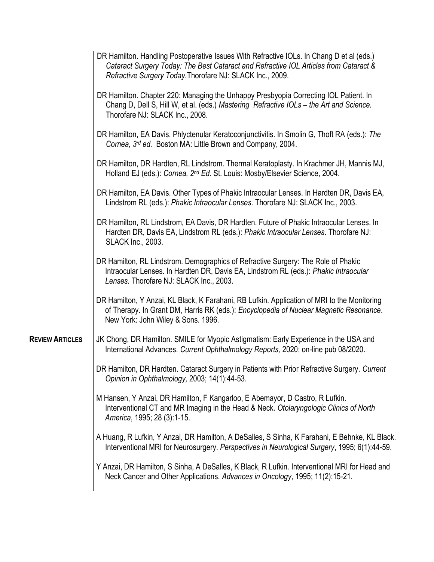|                        | DR Hamilton. Handling Postoperative Issues With Refractive IOLs. In Chang D et al (eds.)<br>Cataract Surgery Today: The Best Cataract and Refractive IOL Articles from Cataract &<br>Refractive Surgery Today. Thorofare NJ: SLACK Inc., 2009. |
|------------------------|------------------------------------------------------------------------------------------------------------------------------------------------------------------------------------------------------------------------------------------------|
|                        | DR Hamilton. Chapter 220: Managing the Unhappy Presbyopia Correcting IOL Patient. In<br>Chang D, Dell S, Hill W, et al. (eds.) Mastering Refractive IOLs - the Art and Science.<br>Thorofare NJ: SLACK Inc., 2008.                             |
|                        | DR Hamilton, EA Davis. Phlyctenular Keratoconjunctivitis. In Smolin G, Thoft RA (eds.): The<br>Cornea, 3rd ed. Boston MA: Little Brown and Company, 2004.                                                                                      |
|                        | DR Hamilton, DR Hardten, RL Lindstrom. Thermal Keratoplasty. In Krachmer JH, Mannis MJ,<br>Holland EJ (eds.): Cornea, 2nd Ed. St. Louis: Mosby/Elsevier Science, 2004.                                                                         |
|                        | DR Hamilton, EA Davis. Other Types of Phakic Intraocular Lenses. In Hardten DR, Davis EA,<br>Lindstrom RL (eds.): Phakic Intraocular Lenses. Thorofare NJ: SLACK Inc., 2003.                                                                   |
|                        | DR Hamilton, RL Lindstrom, EA Davis, DR Hardten. Future of Phakic Intraocular Lenses. In<br>Hardten DR, Davis EA, Lindstrom RL (eds.): Phakic Intraocular Lenses. Thorofare NJ:<br><b>SLACK Inc., 2003.</b>                                    |
|                        | DR Hamilton, RL Lindstrom. Demographics of Refractive Surgery: The Role of Phakic<br>Intraocular Lenses. In Hardten DR, Davis EA, Lindstrom RL (eds.): Phakic Intraocular<br>Lenses. Thorofare NJ: SLACK Inc., 2003.                           |
|                        | DR Hamilton, Y Anzai, KL Black, K Farahani, RB Lufkin. Application of MRI to the Monitoring<br>of Therapy. In Grant DM, Harris RK (eds.): Encyclopedia of Nuclear Magnetic Resonance.<br>New York: John Wiley & Sons. 1996.                    |
| <b>REVIEW ARTICLES</b> | JK Chong, DR Hamilton. SMILE for Myopic Astigmatism: Early Experience in the USA and<br>International Advances. Current Ophthalmology Reports, 2020; on-line pub 08/2020.                                                                      |
|                        | DR Hamilton, DR Hardten. Cataract Surgery in Patients with Prior Refractive Surgery. Current<br>Opinion in Ophthalmology, 2003; 14(1):44-53.                                                                                                   |
|                        | M Hansen, Y Anzai, DR Hamilton, F Kangarloo, E Abemayor, D Castro, R Lufkin.<br>Interventional CT and MR Imaging in the Head & Neck. Otolaryngologic Clinics of North<br>America, 1995; 28 (3):1-15.                                           |
|                        | A Huang, R Lufkin, Y Anzai, DR Hamilton, A DeSalles, S Sinha, K Farahani, E Behnke, KL Black.<br>Interventional MRI for Neurosurgery. Perspectives in Neurological Surgery, 1995; 6(1):44-59.                                                  |
|                        | Y Anzai, DR Hamilton, S Sinha, A DeSalles, K Black, R Lufkin. Interventional MRI for Head and<br>Neck Cancer and Other Applications. Advances in Oncology, 1995; 11(2):15-21.                                                                  |
|                        |                                                                                                                                                                                                                                                |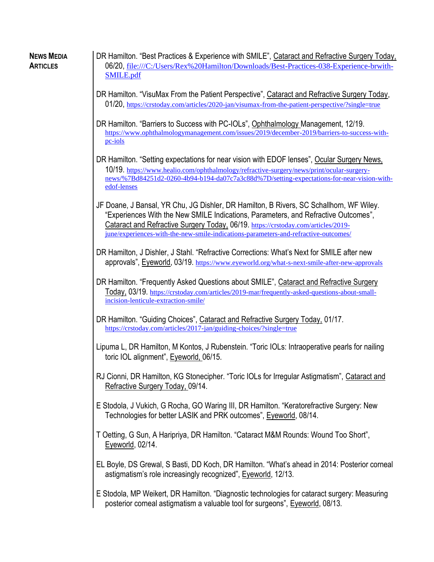| <b>NEWS MEDIA</b><br><b>ARTICLES</b> | DR Hamilton. "Best Practices & Experience with SMILE", Cataract and Refractive Surgery Today.<br>06/20, file:///C:/Users/Rex%20Hamilton/Downloads/Best-Practices-038-Experience-brwith-<br><b>SMILE.pdf</b>                                                                                                                                               |
|--------------------------------------|-----------------------------------------------------------------------------------------------------------------------------------------------------------------------------------------------------------------------------------------------------------------------------------------------------------------------------------------------------------|
|                                      | DR Hamilton. "VisuMax From the Patient Perspective", Cataract and Refractive Surgery Today,<br>01/20, https://crstoday.com/articles/2020-jan/visumax-from-the-patient-perspective/?single=true                                                                                                                                                            |
|                                      | DR Hamilton. "Barriers to Success with PC-IOLs", Ophthalmology Management, 12/19.<br>https://www.ophthalmologymanagement.com/issues/2019/december-2019/barriers-to-success-with-<br>pc-iols                                                                                                                                                               |
|                                      | DR Hamilton. "Setting expectations for near vision with EDOF lenses", Ocular Surgery News,<br>10/19. https://www.healio.com/ophthalmology/refractive-surgery/news/print/ocular-surgery-<br>news/%7Bd84251d2-0260-4b94-b194-da07c7a3c88d%7D/setting-expectations-for-near-vision-with-<br>edof-lenses                                                      |
|                                      | JF Doane, J Bansal, YR Chu, JG Dishler, DR Hamilton, B Rivers, SC Schallhorn, WF Wiley.<br>"Experiences With the New SMILE Indications, Parameters, and Refractive Outcomes",<br>Cataract and Refractive Surgery Today, 06/19. https://crstoday.com/articles/2019-<br>june/experiences-with-the-new-smile-indications-parameters-and-refractive-outcomes/ |
|                                      | DR Hamilton, J Dishler, J Stahl. "Refractive Corrections: What's Next for SMILE after new<br>approvals", Eyeworld, 03/19. https://www.eyeworld.org/what-s-next-smile-after-new-approvals                                                                                                                                                                  |
|                                      | DR Hamilton. "Frequently Asked Questions about SMILE", Cataract and Refractive Surgery<br>Today, 03/19. https://crstoday.com/articles/2019-mar/frequently-asked-questions-about-small-<br>incision-lenticule-extraction-smile/                                                                                                                            |
|                                      | DR Hamilton. "Guiding Choices", Cataract and Refractive Surgery Today, 01/17.<br>https://crstoday.com/articles/2017-jan/guiding-choices/?single=true                                                                                                                                                                                                      |
|                                      | Lipuma L, DR Hamilton, M Kontos, J Rubenstein. "Toric IOLs: Intraoperative pearls for nailing<br>toric IOL alignment", Eyeworld, 06/15.                                                                                                                                                                                                                   |
|                                      | RJ Cionni, DR Hamilton, KG Stonecipher. "Toric IOLs for Irregular Astigmatism", Cataract and<br>Refractive Surgery Today, 09/14.                                                                                                                                                                                                                          |
|                                      | E Stodola, J Vukich, G Rocha, GO Waring III, DR Hamilton. "Keratorefractive Surgery: New<br>Technologies for better LASIK and PRK outcomes", Eyeworld, 08/14.                                                                                                                                                                                             |
|                                      | T Oetting, G Sun, A Haripriya, DR Hamilton. "Cataract M&M Rounds: Wound Too Short",<br>Eyeworld, 02/14.                                                                                                                                                                                                                                                   |
|                                      | EL Boyle, DS Grewal, S Basti, DD Koch, DR Hamilton. "What's ahead in 2014: Posterior corneal<br>astigmatism's role increasingly recognized", Eyeworld, 12/13.                                                                                                                                                                                             |
|                                      | E Stodola, MP Weikert, DR Hamilton. "Diagnostic technologies for cataract surgery: Measuring<br>posterior corneal astigmatism a valuable tool for surgeons", Eyeworld, 08/13.                                                                                                                                                                             |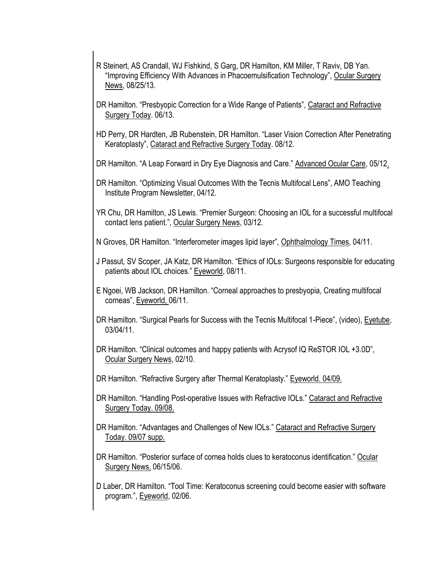- R Steinert, AS Crandall, WJ Fishkind, S Garg, DR Hamilton, KM Miller, T Raviv, DB Yan. "Improving Efficiency With Advances in Phacoemulsification Technology", Ocular Surgery News, 08/25/13.
- DR Hamilton. "Presbyopic Correction for a Wide Range of Patients", Cataract and Refractive Surgery Today. 06/13.
- HD Perry, DR Hardten, JB Rubenstein, DR Hamilton. "Laser Vision Correction After Penetrating Keratoplasty", Cataract and Refractive Surgery Today. 08/12.
- DR Hamilton. "A Leap Forward in Dry Eye Diagnosis and Care." Advanced Ocular Care, 05/12.
- DR Hamilton. "Optimizing Visual Outcomes With the Tecnis Multifocal Lens", AMO Teaching Institute Program Newsletter, 04/12.
- YR Chu, DR Hamilton, JS Lewis. "Premier Surgeon: Choosing an IOL for a successful multifocal contact lens patient.", Ocular Surgery News, 03/12.
- N Groves, DR Hamilton. "Interferometer images lipid layer", Ophthalmology Times, 04/11.
- J Passut, SV Scoper, JA Katz, DR Hamilton. "Ethics of IOLs: Surgeons responsible for educating patients about IOL choices." Eyeworld, 08/11.
- E Ngoei, WB Jackson, DR Hamilton. "Corneal approaches to presbyopia, Creating multifocal corneas", Eyeworld, 06/11.
- DR Hamilton. "Surgical Pearls for Success with the Tecnis Multifocal 1-Piece", (video), Eyetube, 03/04/11.
- DR Hamilton. "Clinical outcomes and happy patients with Acrysof IQ ReSTOR IOL +3.0D", Ocular Surgery News, 02/10.
- DR Hamilton. "Refractive Surgery after Thermal Keratoplasty." Eyeworld. 04/09.
- DR Hamilton. "Handling Post-operative Issues with Refractive IOLs." Cataract and Refractive Surgery Today. 09/08.
- DR Hamilton. "Advantages and Challenges of New IOLs." Cataract and Refractive Surgery Today. 09/07 supp.
- DR Hamilton. "Posterior surface of cornea holds clues to keratoconus identification." Ocular Surgery News, 06/15/06.
- D Laber, DR Hamilton. "Tool Time: Keratoconus screening could become easier with software program.", Eyeworld, 02/06.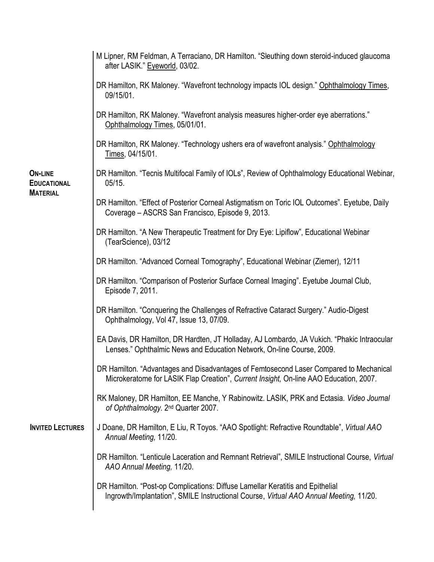|                                      | M Lipner, RM Feldman, A Terraciano, DR Hamilton. "Sleuthing down steroid-induced glaucoma<br>after LASIK." Eyeworld, 03/02.                                                     |
|--------------------------------------|---------------------------------------------------------------------------------------------------------------------------------------------------------------------------------|
|                                      | DR Hamilton, RK Maloney. "Wavefront technology impacts IOL design." Ophthalmology Times,<br>09/15/01.                                                                           |
|                                      | DR Hamilton, RK Maloney. "Wavefront analysis measures higher-order eye aberrations."<br>Ophthalmology Times, 05/01/01.                                                          |
|                                      | DR Hamilton, RK Maloney. "Technology ushers era of wavefront analysis." Ophthalmology<br>Times, 04/15/01.                                                                       |
| <b>ON-LINE</b><br><b>EDUCATIONAL</b> | DR Hamilton. "Tecnis Multifocal Family of IOLs", Review of Ophthalmology Educational Webinar,<br>05/15.                                                                         |
| <b>MATERIAL</b>                      | DR Hamilton. "Effect of Posterior Corneal Astigmatism on Toric IOL Outcomes". Eyetube, Daily<br>Coverage - ASCRS San Francisco, Episode 9, 2013.                                |
|                                      | DR Hamilton. "A New Therapeutic Treatment for Dry Eye: Lipiflow", Educational Webinar<br>(TearScience), 03/12                                                                   |
|                                      | DR Hamilton. "Advanced Corneal Tomography", Educational Webinar (Ziemer), 12/11                                                                                                 |
|                                      | DR Hamilton. "Comparison of Posterior Surface Corneal Imaging". Eyetube Journal Club,<br>Episode 7, 2011.                                                                       |
|                                      | DR Hamilton. "Conquering the Challenges of Refractive Cataract Surgery." Audio-Digest<br>Ophthalmology, Vol 47, Issue 13, 07/09.                                                |
|                                      | EA Davis, DR Hamilton, DR Hardten, JT Holladay, AJ Lombardo, JA Vukich. "Phakic Intraocular<br>Lenses." Ophthalmic News and Education Network, On-line Course, 2009.            |
| <b>INVITED LECTURES</b>              | DR Hamilton. "Advantages and Disadvantages of Femtosecond Laser Compared to Mechanical<br>Microkeratome for LASIK Flap Creation", Current Insight, On-line AAO Education, 2007. |
|                                      | RK Maloney, DR Hamilton, EE Manche, Y Rabinowitz. LASIK, PRK and Ectasia. Video Journal<br>of Ophthalmology. 2 <sup>nd</sup> Quarter 2007.                                      |
|                                      | J Doane, DR Hamilton, E Liu, R Toyos. "AAO Spotlight: Refractive Roundtable", Virtual AAO<br>Annual Meeting, 11/20.                                                             |
|                                      | DR Hamilton. "Lenticule Laceration and Remnant Retrieval", SMILE Instructional Course, Virtual<br>AAO Annual Meeting, 11/20.                                                    |
|                                      | DR Hamilton. "Post-op Complications: Diffuse Lamellar Keratitis and Epithelial<br>Ingrowth/Implantation", SMILE Instructional Course, Virtual AAO Annual Meeting, 11/20.        |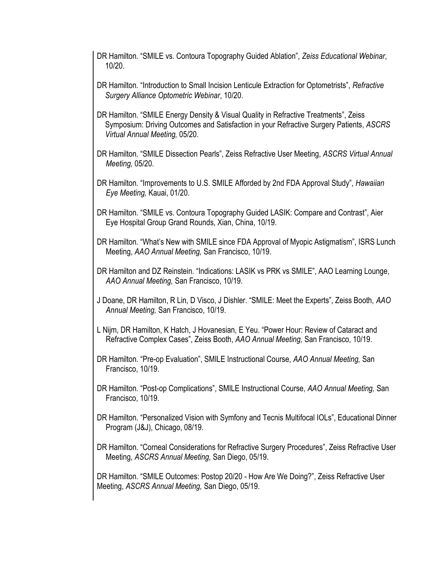- DR Hamilton. "SMILE vs. Contoura Topography Guided Ablation", *Zeiss Educational Webinar*, 10/20.
- DR Hamilton. "Introduction to Small Incision Lenticule Extraction for Optometrists", *Refractive Surgery Alliance Optometric Webinar*, 10/20.
- DR Hamilton. "SMILE Energy Density & Visual Quality in Refractive Treatments", Zeiss Symposium: Driving Outcomes and Satisfaction in your Refractive Surgery Patients, *ASCRS Virtual Annual Meeting,* 05/20.
- DR Hamilton. "SMILE Dissection Pearls", Zeiss Refractive User Meeting, *ASCRS Virtual Annual Meeting,* 05/20.
- DR Hamilton. "Improvements to U.S. SMILE Afforded by 2nd FDA Approval Study", *Hawaiian Eye Meeting,* Kauai, 01/20.
- DR Hamilton. "SMILE vs. Contoura Topography Guided LASIK: Compare and Contrast", Aier Eye Hospital Group Grand Rounds, Xian, China, 10/19.
- DR Hamilton. "What's New with SMILE since FDA Approval of Myopic Astigmatism", ISRS Lunch Meeting, *AAO Annual Meeting,* San Francisco, 10/19.
- DR Hamilton and DZ Reinstein. "Indications: LASIK vs PRK vs SMILE", AAO Learning Lounge, *AAO Annual Meeting,* San Francisco, 10/19.
- J Doane, DR Hamilton, R Lin, D Visco, J Dishler. "SMILE: Meet the Experts", Zeiss Booth, *AAO Annual Meeting,* San Francisco, 10/19.
- L Nijm, DR Hamilton, K Hatch, J Hovanesian, E Yeu. "Power Hour: Review of Cataract and Refractive Complex Cases", Zeiss Booth, *AAO Annual Meeting,* San Francisco, 10/19.
- DR Hamilton. "Pre-op Evaluation", SMILE Instructional Course, *AAO Annual Meeting,* San Francisco, 10/19.
- DR Hamilton. "Post-op Complications", SMILE Instructional Course, *AAO Annual Meeting,* San Francisco, 10/19.
- DR Hamilton. "Personalized Vision with Symfony and Tecnis Multifocal IOLs", Educational Dinner Program (J&J), Chicago, 08/19.
- DR Hamilton. "Corneal Considerations for Refractive Surgery Procedures", Zeiss Refractive User Meeting, *ASCRS Annual Meeting,* San Diego, 05/19.

DR Hamilton. "SMILE Outcomes: Postop 20/20 - How Are We Doing?", Zeiss Refractive User Meeting, *ASCRS Annual Meeting,* San Diego, 05/19.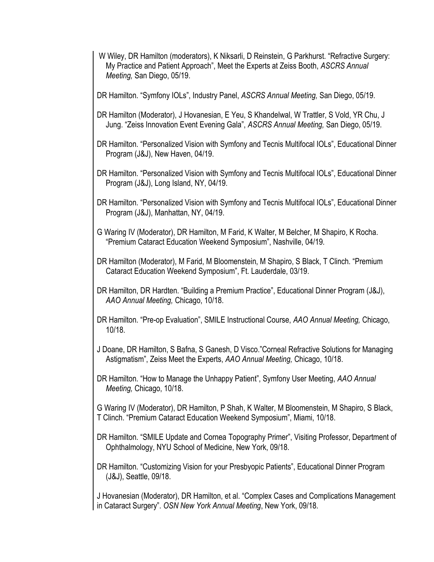W Wiley, DR Hamilton (moderators), K Niksarli, D Reinstein, G Parkhurst. "Refractive Surgery: My Practice and Patient Approach", Meet the Experts at Zeiss Booth, *ASCRS Annual Meeting,* San Diego, 05/19.

DR Hamilton. "Symfony IOLs", Industry Panel, *ASCRS Annual Meeting,* San Diego, 05/19.

- DR Hamilton (Moderator), J Hovanesian, E Yeu, S Khandelwal, W Trattler, S Vold, YR Chu, J Jung. "Zeiss Innovation Event Evening Gala", *ASCRS Annual Meeting,* San Diego, 05/19.
- DR Hamilton. "Personalized Vision with Symfony and Tecnis Multifocal IOLs", Educational Dinner Program (J&J), New Haven, 04/19.
- DR Hamilton. "Personalized Vision with Symfony and Tecnis Multifocal IOLs", Educational Dinner Program (J&J), Long Island, NY, 04/19.
- DR Hamilton. "Personalized Vision with Symfony and Tecnis Multifocal IOLs", Educational Dinner Program (J&J), Manhattan, NY, 04/19.
- G Waring IV (Moderator), DR Hamilton, M Farid, K Walter, M Belcher, M Shapiro, K Rocha. "Premium Cataract Education Weekend Symposium", Nashville, 04/19.
- DR Hamilton (Moderator), M Farid, M Bloomenstein, M Shapiro, S Black, T Clinch. "Premium Cataract Education Weekend Symposium", Ft. Lauderdale, 03/19.
- DR Hamilton, DR Hardten. "Building a Premium Practice", Educational Dinner Program (J&J), *AAO Annual Meeting,* Chicago, 10/18.
- DR Hamilton. "Pre-op Evaluation", SMILE Instructional Course, *AAO Annual Meeting,* Chicago, 10/18.
- J Doane, DR Hamilton, S Bafna, S Ganesh, D Visco."Corneal Refractive Solutions for Managing Astigmatism", Zeiss Meet the Experts, *AAO Annual Meeting,* Chicago, 10/18.
- DR Hamilton. "How to Manage the Unhappy Patient", Symfony User Meeting, *AAO Annual Meeting,* Chicago, 10/18.

G Waring IV (Moderator), DR Hamilton, P Shah, K Walter, M Bloomenstein, M Shapiro, S Black, T Clinch. "Premium Cataract Education Weekend Symposium", Miami, 10/18.

- DR Hamilton. "SMILE Update and Cornea Topography Primer", Visiting Professor, Department of Ophthalmology, NYU School of Medicine, New York, 09/18.
- DR Hamilton. "Customizing Vision for your Presbyopic Patients", Educational Dinner Program (J&J), Seattle, 09/18.

J Hovanesian (Moderator), DR Hamilton, et al. "Complex Cases and Complications Management in Cataract Surgery". *OSN New York Annual Meeting*, New York, 09/18.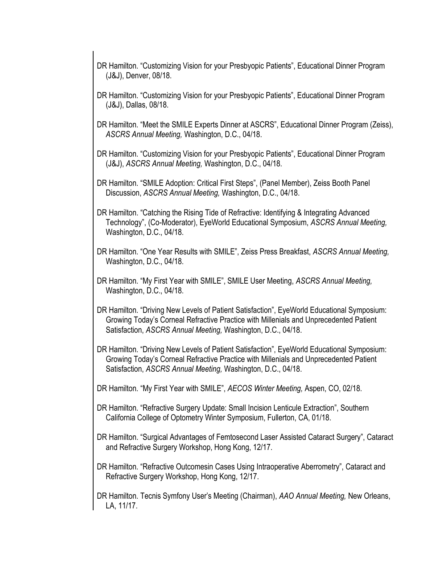- DR Hamilton. "Customizing Vision for your Presbyopic Patients", Educational Dinner Program (J&J), Denver, 08/18.
- DR Hamilton. "Customizing Vision for your Presbyopic Patients", Educational Dinner Program (J&J), Dallas, 08/18.
- DR Hamilton. "Meet the SMILE Experts Dinner at ASCRS", Educational Dinner Program (Zeiss), *ASCRS Annual Meeting,* Washington, D.C., 04/18.
- DR Hamilton. "Customizing Vision for your Presbyopic Patients", Educational Dinner Program (J&J), *ASCRS Annual Meeting,* Washington, D.C., 04/18.
- DR Hamilton. "SMILE Adoption: Critical First Steps", (Panel Member), Zeiss Booth Panel Discussion, *ASCRS Annual Meeting,* Washington, D.C., 04/18.
- DR Hamilton. "Catching the Rising Tide of Refractive: Identifying & Integrating Advanced Technology", (Co-Moderator), EyeWorld Educational Symposium, *ASCRS Annual Meeting,*  Washington, D.C., 04/18.
- DR Hamilton. "One Year Results with SMILE", Zeiss Press Breakfast, *ASCRS Annual Meeting,*  Washington, D.C., 04/18.
- DR Hamilton. "My First Year with SMILE", SMILE User Meeting, *ASCRS Annual Meeting,*  Washington, D.C., 04/18.
- DR Hamilton. "Driving New Levels of Patient Satisfaction", EyeWorld Educational Symposium: Growing Today's Corneal Refractive Practice with Millenials and Unprecedented Patient Satisfaction, *ASCRS Annual Meeting,* Washington, D.C., 04/18.
- DR Hamilton. "Driving New Levels of Patient Satisfaction", EyeWorld Educational Symposium: Growing Today's Corneal Refractive Practice with Millenials and Unprecedented Patient Satisfaction, *ASCRS Annual Meeting,* Washington, D.C., 04/18.
- DR Hamilton. "My First Year with SMILE", *AECOS Winter Meeting,* Aspen, CO, 02/18.
- DR Hamilton. "Refractive Surgery Update: Small Incision Lenticule Extraction", Southern California College of Optometry Winter Symposium, Fullerton, CA, 01/18.
- DR Hamilton. "Surgical Advantages of Femtosecond Laser Assisted Cataract Surgery", Cataract and Refractive Surgery Workshop, Hong Kong, 12/17.
- DR Hamilton. "Refractive Outcomesin Cases Using Intraoperative Aberrometry", Cataract and Refractive Surgery Workshop, Hong Kong, 12/17.
- DR Hamilton. Tecnis Symfony User's Meeting (Chairman), *AAO Annual Meeting,* New Orleans, LA, 11/17.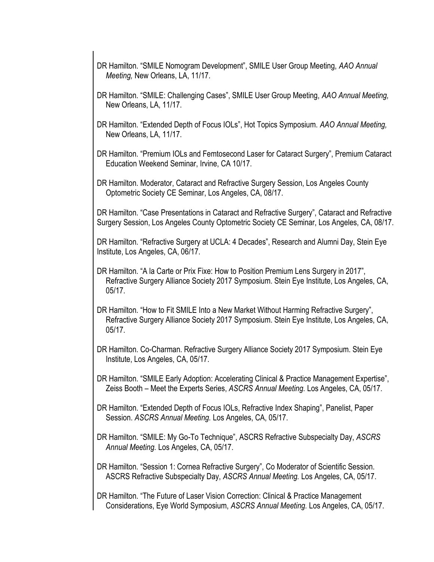- DR Hamilton. "SMILE Nomogram Development", SMILE User Group Meeting, *AAO Annual Meeting,* New Orleans, LA, 11/17.
- DR Hamilton. "SMILE: Challenging Cases", SMILE User Group Meeting, *AAO Annual Meeting,*  New Orleans, LA, 11/17.
- DR Hamilton. "Extended Depth of Focus IOLs", Hot Topics Symposium. *AAO Annual Meeting,*  New Orleans, LA, 11/17.
- DR Hamilton. "Premium IOLs and Femtosecond Laser for Cataract Surgery", Premium Cataract Education Weekend Seminar, Irvine, CA 10/17.
- DR Hamilton. Moderator, Cataract and Refractive Surgery Session, Los Angeles County Optometric Society CE Seminar, Los Angeles, CA, 08/17.

DR Hamilton. "Case Presentations in Cataract and Refractive Surgery", Cataract and Refractive Surgery Session, Los Angeles County Optometric Society CE Seminar, Los Angeles, CA, 08/17.

DR Hamilton. "Refractive Surgery at UCLA: 4 Decades", Research and Alumni Day, Stein Eye Institute, Los Angeles, CA, 06/17.

- DR Hamilton. "A la Carte or Prix Fixe: How to Position Premium Lens Surgery in 2017", Refractive Surgery Alliance Society 2017 Symposium. Stein Eye Institute, Los Angeles, CA, 05/17.
- DR Hamilton. "How to Fit SMILE Into a New Market Without Harming Refractive Surgery", Refractive Surgery Alliance Society 2017 Symposium. Stein Eye Institute, Los Angeles, CA, 05/17.
- DR Hamilton. Co-Charman. Refractive Surgery Alliance Society 2017 Symposium. Stein Eye Institute, Los Angeles, CA, 05/17.
- DR Hamilton. "SMILE Early Adoption: Accelerating Clinical & Practice Management Expertise", Zeiss Booth – Meet the Experts Series, *ASCRS Annual Meeting.* Los Angeles, CA, 05/17.
- DR Hamilton. "Extended Depth of Focus IOLs, Refractive Index Shaping", Panelist, Paper Session. *ASCRS Annual Meeting.* Los Angeles, CA, 05/17.
- DR Hamilton. "SMILE: My Go-To Technique", ASCRS Refractive Subspecialty Day, *ASCRS Annual Meeting.* Los Angeles, CA, 05/17.
- DR Hamilton. "Session 1: Cornea Refractive Surgery", Co Moderator of Scientific Session. ASCRS Refractive Subspecialty Day, *ASCRS Annual Meeting.* Los Angeles, CA, 05/17.

DR Hamilton. "The Future of Laser Vision Correction: Clinical & Practice Management Considerations, Eye World Symposium, *ASCRS Annual Meeting.* Los Angeles, CA, 05/17.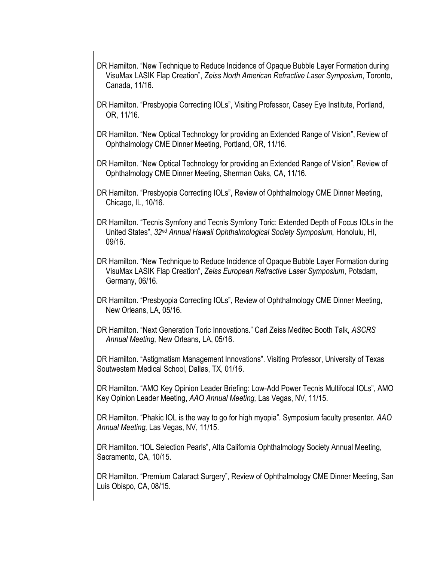- DR Hamilton. "New Technique to Reduce Incidence of Opaque Bubble Layer Formation during VisuMax LASIK Flap Creation", *Zeiss North American Refractive Laser Symposium*, Toronto, Canada, 11/16.
- DR Hamilton. "Presbyopia Correcting IOLs", Visiting Professor, Casey Eye Institute, Portland, OR, 11/16.
- DR Hamilton. "New Optical Technology for providing an Extended Range of Vision", Review of Ophthalmology CME Dinner Meeting, Portland, OR, 11/16.
- DR Hamilton. "New Optical Technology for providing an Extended Range of Vision", Review of Ophthalmology CME Dinner Meeting, Sherman Oaks, CA, 11/16.
- DR Hamilton. "Presbyopia Correcting IOLs", Review of Ophthalmology CME Dinner Meeting, Chicago, IL, 10/16.
- DR Hamilton. "Tecnis Symfony and Tecnis Symfony Toric: Extended Depth of Focus IOLs in the United States", *32nd Annual Hawaii Ophthalmological Society Symposium,* Honolulu, HI, 09/16.
- DR Hamilton. "New Technique to Reduce Incidence of Opaque Bubble Layer Formation during VisuMax LASIK Flap Creation", *Zeiss European Refractive Laser Symposium*, Potsdam, Germany, 06/16.
- DR Hamilton. "Presbyopia Correcting IOLs", Review of Ophthalmology CME Dinner Meeting, New Orleans, LA, 05/16.
- DR Hamilton. "Next Generation Toric Innovations." Carl Zeiss Meditec Booth Talk, *ASCRS Annual Meeting,* New Orleans, LA, 05/16.

DR Hamilton. "Astigmatism Management Innovations". Visiting Professor, University of Texas Soutwestern Medical School, Dallas, TX, 01/16.

DR Hamilton. "AMO Key Opinion Leader Briefing: Low-Add Power Tecnis Multifocal IOLs", AMO Key Opinion Leader Meeting, *AAO Annual Meeting,* Las Vegas, NV, 11/15.

DR Hamilton. "Phakic IOL is the way to go for high myopia". Symposium faculty presenter. *AAO Annual Meeting,* Las Vegas, NV, 11/15.

DR Hamilton. "IOL Selection Pearls", Alta California Ophthalmology Society Annual Meeting, Sacramento, CA, 10/15.

DR Hamilton. "Premium Cataract Surgery", Review of Ophthalmology CME Dinner Meeting, San Luis Obispo, CA, 08/15.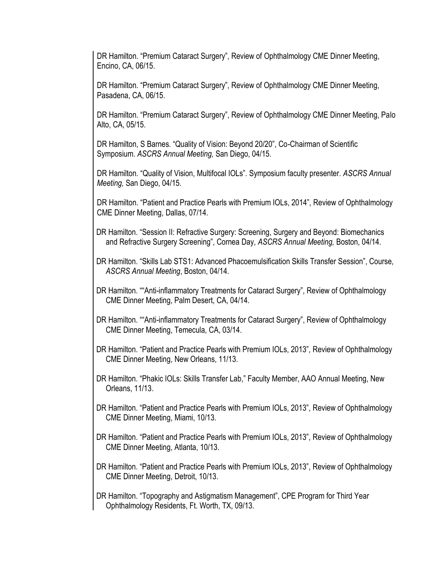DR Hamilton. "Premium Cataract Surgery", Review of Ophthalmology CME Dinner Meeting, Encino, CA, 06/15.

DR Hamilton. "Premium Cataract Surgery", Review of Ophthalmology CME Dinner Meeting, Pasadena, CA, 06/15.

DR Hamilton. "Premium Cataract Surgery", Review of Ophthalmology CME Dinner Meeting, Palo Alto, CA, 05/15.

DR Hamilton, S Barnes. "Quality of Vision: Beyond 20/20", Co-Chairman of Scientific Symposium. *ASCRS Annual Meeting,* San Diego, 04/15.

DR Hamilton. "Quality of Vision, Multifocal IOLs". Symposium faculty presenter. *ASCRS Annual Meeting,* San Diego, 04/15.

DR Hamilton. "Patient and Practice Pearls with Premium IOLs, 2014", Review of Ophthalmology CME Dinner Meeting, Dallas, 07/14.

DR Hamilton. "Session II: Refractive Surgery: Screening, Surgery and Beyond: Biomechanics and Refractive Surgery Screening", Cornea Day, *ASCRS Annual Meeting,* Boston, 04/14.

- DR Hamilton. "Skills Lab STS1: Advanced Phacoemulsification Skills Transfer Session", Course, *ASCRS Annual Meeting*, Boston, 04/14.
- DR Hamilton. ""Anti-inflammatory Treatments for Cataract Surgery", Review of Ophthalmology CME Dinner Meeting, Palm Desert, CA, 04/14.
- DR Hamilton. ""Anti-inflammatory Treatments for Cataract Surgery", Review of Ophthalmology CME Dinner Meeting, Temecula, CA, 03/14.
- DR Hamilton. "Patient and Practice Pearls with Premium IOLs, 2013", Review of Ophthalmology CME Dinner Meeting, New Orleans, 11/13.
- DR Hamilton. "Phakic IOLs: Skills Transfer Lab," Faculty Member, AAO Annual Meeting, New Orleans, 11/13.
- DR Hamilton. "Patient and Practice Pearls with Premium IOLs, 2013", Review of Ophthalmology CME Dinner Meeting, Miami, 10/13.
- DR Hamilton. "Patient and Practice Pearls with Premium IOLs, 2013", Review of Ophthalmology CME Dinner Meeting, Atlanta, 10/13.
- DR Hamilton. "Patient and Practice Pearls with Premium IOLs, 2013", Review of Ophthalmology CME Dinner Meeting, Detroit, 10/13.
- DR Hamilton. "Topography and Astigmatism Management", CPE Program for Third Year Ophthalmology Residents, Ft. Worth, TX, 09/13.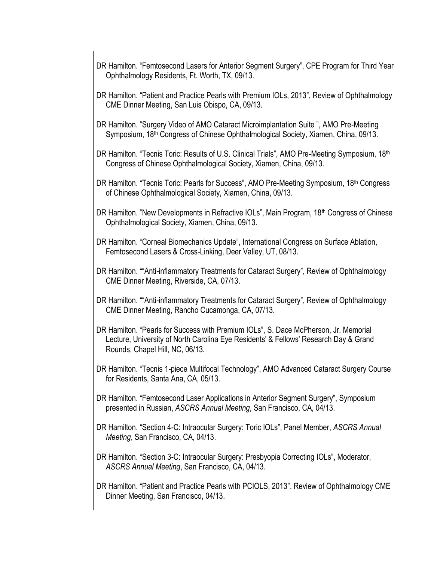- DR Hamilton. "Femtosecond Lasers for Anterior Segment Surgery", CPE Program for Third Year Ophthalmology Residents, Ft. Worth, TX, 09/13.
- DR Hamilton. "Patient and Practice Pearls with Premium IOLs, 2013", Review of Ophthalmology CME Dinner Meeting, San Luis Obispo, CA, 09/13.
- DR Hamilton. "Surgery Video of AMO Cataract Microimplantation Suite ", AMO Pre-Meeting Symposium, 18th Congress of Chinese Ophthalmological Society, Xiamen, China, 09/13.
- DR Hamilton. "Tecnis Toric: Results of U.S. Clinical Trials", AMO Pre-Meeting Symposium, 18<sup>th</sup> Congress of Chinese Ophthalmological Society, Xiamen, China, 09/13.
- DR Hamilton. "Tecnis Toric: Pearls for Success", AMO Pre-Meeting Symposium, 18th Congress of Chinese Ophthalmological Society, Xiamen, China, 09/13.
- DR Hamilton. "New Developments in Refractive IOLs", Main Program, 18th Congress of Chinese Ophthalmological Society, Xiamen, China, 09/13.
- DR Hamilton. "Corneal Biomechanics Update", International Congress on Surface Ablation, Femtosecond Lasers & Cross-Linking, Deer Valley, UT, 08/13.
- DR Hamilton. ""Anti-inflammatory Treatments for Cataract Surgery", Review of Ophthalmology CME Dinner Meeting, Riverside, CA, 07/13.
- DR Hamilton. ""Anti-inflammatory Treatments for Cataract Surgery", Review of Ophthalmology CME Dinner Meeting, Rancho Cucamonga, CA, 07/13.
- DR Hamilton. "Pearls for Success with Premium IOLs", S. Dace McPherson, Jr. Memorial Lecture, University of North Carolina Eye Residents' & Fellows' Research Day & Grand Rounds, Chapel Hill, NC, 06/13.
- DR Hamilton. "Tecnis 1-piece Multifocal Technology", AMO Advanced Cataract Surgery Course for Residents, Santa Ana, CA, 05/13.
- DR Hamilton. "Femtosecond Laser Applications in Anterior Segment Surgery", Symposium presented in Russian, *ASCRS Annual Meeting*, San Francisco, CA, 04/13.
- DR Hamilton. "Section 4-C: Intraocular Surgery: Toric IOLs", Panel Member, *ASCRS Annual Meeting*, San Francisco, CA, 04/13.
- DR Hamilton. "Section 3-C: Intraocular Surgery: Presbyopia Correcting IOLs", Moderator, *ASCRS Annual Meeting*, San Francisco, CA, 04/13.
- DR Hamilton. "Patient and Practice Pearls with PCIOLS, 2013", Review of Ophthalmology CME Dinner Meeting, San Francisco, 04/13.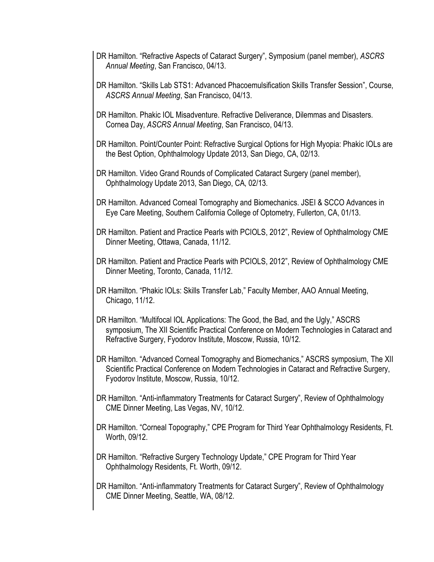- DR Hamilton. "Refractive Aspects of Cataract Surgery", Symposium (panel member), *ASCRS Annual Meeting*, San Francisco, 04/13.
- DR Hamilton. "Skills Lab STS1: Advanced Phacoemulsification Skills Transfer Session", Course, *ASCRS Annual Meeting*, San Francisco, 04/13.
- DR Hamilton. Phakic IOL Misadventure. Refractive Deliverance, Dilemmas and Disasters. Cornea Day, *ASCRS Annual Meeting*, San Francisco, 04/13.
- DR Hamilton. Point/Counter Point: Refractive Surgical Options for High Myopia: Phakic IOLs are the Best Option, Ophthalmology Update 2013, San Diego, CA, 02/13.
- DR Hamilton. Video Grand Rounds of Complicated Cataract Surgery (panel member), Ophthalmology Update 2013, San Diego, CA, 02/13.
- DR Hamilton. Advanced Corneal Tomography and Biomechanics. JSEI & SCCO Advances in Eye Care Meeting, Southern California College of Optometry, Fullerton, CA, 01/13.
- DR Hamilton. Patient and Practice Pearls with PCIOLS, 2012", Review of Ophthalmology CME Dinner Meeting, Ottawa, Canada, 11/12.
- DR Hamilton. Patient and Practice Pearls with PCIOLS, 2012", Review of Ophthalmology CME Dinner Meeting, Toronto, Canada, 11/12.
- DR Hamilton. "Phakic IOLs: Skills Transfer Lab," Faculty Member, AAO Annual Meeting, Chicago, 11/12.
- DR Hamilton. "Multifocal IOL Applications: The Good, the Bad, and the Ugly," ASCRS symposium, The XII Scientific Practical Conference on Modern Technologies in Cataract and Refractive Surgery, Fyodorov Institute, Moscow, Russia, 10/12.
- DR Hamilton. "Advanced Corneal Tomography and Biomechanics," ASCRS symposium, The XII Scientific Practical Conference on Modern Technologies in Cataract and Refractive Surgery, Fyodorov Institute, Moscow, Russia, 10/12.
- DR Hamilton. "Anti-inflammatory Treatments for Cataract Surgery", Review of Ophthalmology CME Dinner Meeting, Las Vegas, NV, 10/12.
- DR Hamilton. "Corneal Topography," CPE Program for Third Year Ophthalmology Residents, Ft. Worth, 09/12.
- DR Hamilton. "Refractive Surgery Technology Update," CPE Program for Third Year Ophthalmology Residents, Ft. Worth, 09/12.
- DR Hamilton. "Anti-inflammatory Treatments for Cataract Surgery", Review of Ophthalmology CME Dinner Meeting, Seattle, WA, 08/12.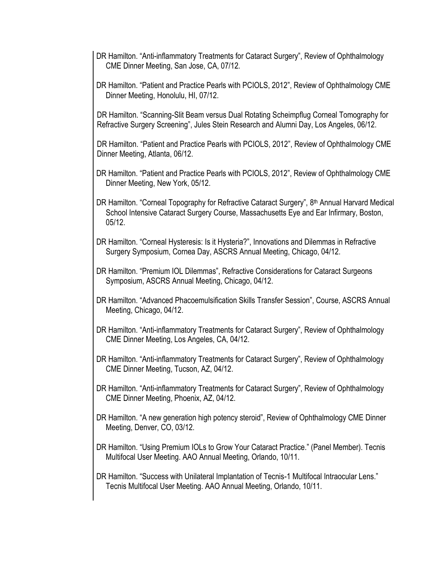- DR Hamilton. "Anti-inflammatory Treatments for Cataract Surgery", Review of Ophthalmology CME Dinner Meeting, San Jose, CA, 07/12.
- DR Hamilton. "Patient and Practice Pearls with PCIOLS, 2012", Review of Ophthalmology CME Dinner Meeting, Honolulu, HI, 07/12.

DR Hamilton. "Scanning-Slit Beam versus Dual Rotating Scheimpflug Corneal Tomography for Refractive Surgery Screening", Jules Stein Research and Alumni Day, Los Angeles, 06/12.

DR Hamilton. "Patient and Practice Pearls with PCIOLS, 2012", Review of Ophthalmology CME Dinner Meeting, Atlanta, 06/12.

- DR Hamilton. "Patient and Practice Pearls with PCIOLS, 2012", Review of Ophthalmology CME Dinner Meeting, New York, 05/12.
- DR Hamilton. "Corneal Topography for Refractive Cataract Surgery", 8<sup>th</sup> Annual Harvard Medical School Intensive Cataract Surgery Course, Massachusetts Eye and Ear Infirmary, Boston, 05/12.
- DR Hamilton. "Corneal Hysteresis: Is it Hysteria?", Innovations and Dilemmas in Refractive Surgery Symposium, Cornea Day, ASCRS Annual Meeting, Chicago, 04/12.
- DR Hamilton. "Premium IOL Dilemmas", Refractive Considerations for Cataract Surgeons Symposium, ASCRS Annual Meeting, Chicago, 04/12.
- DR Hamilton. "Advanced Phacoemulsification Skills Transfer Session", Course, ASCRS Annual Meeting, Chicago, 04/12.
- DR Hamilton. "Anti-inflammatory Treatments for Cataract Surgery", Review of Ophthalmology CME Dinner Meeting, Los Angeles, CA, 04/12.
- DR Hamilton. "Anti-inflammatory Treatments for Cataract Surgery", Review of Ophthalmology CME Dinner Meeting, Tucson, AZ, 04/12.
- DR Hamilton. "Anti-inflammatory Treatments for Cataract Surgery", Review of Ophthalmology CME Dinner Meeting, Phoenix, AZ, 04/12.
- DR Hamilton. "A new generation high potency steroid", Review of Ophthalmology CME Dinner Meeting, Denver, CO, 03/12.
- DR Hamilton. "Using Premium IOLs to Grow Your Cataract Practice." (Panel Member). Tecnis Multifocal User Meeting. AAO Annual Meeting, Orlando, 10/11.
- DR Hamilton. "Success with Unilateral Implantation of Tecnis-1 Multifocal Intraocular Lens." Tecnis Multifocal User Meeting. AAO Annual Meeting, Orlando, 10/11.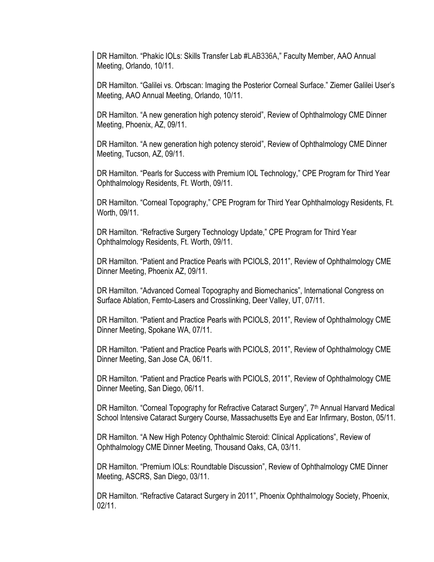DR Hamilton. "Phakic IOLs: Skills Transfer Lab #LAB336A," Faculty Member, AAO Annual Meeting, Orlando, 10/11.

DR Hamilton. "Galilei vs. Orbscan: Imaging the Posterior Corneal Surface." Ziemer Galilei User's Meeting, AAO Annual Meeting, Orlando, 10/11.

DR Hamilton. "A new generation high potency steroid", Review of Ophthalmology CME Dinner Meeting, Phoenix, AZ, 09/11.

DR Hamilton. "A new generation high potency steroid", Review of Ophthalmology CME Dinner Meeting, Tucson, AZ, 09/11.

DR Hamilton. "Pearls for Success with Premium IOL Technology," CPE Program for Third Year Ophthalmology Residents, Ft. Worth, 09/11.

DR Hamilton. "Corneal Topography," CPE Program for Third Year Ophthalmology Residents, Ft. Worth, 09/11.

DR Hamilton. "Refractive Surgery Technology Update," CPE Program for Third Year Ophthalmology Residents, Ft. Worth, 09/11.

DR Hamilton. "Patient and Practice Pearls with PCIOLS, 2011", Review of Ophthalmology CME Dinner Meeting, Phoenix AZ, 09/11.

DR Hamilton. "Advanced Corneal Topography and Biomechanics", International Congress on Surface Ablation, Femto-Lasers and Crosslinking, Deer Valley, UT, 07/11.

DR Hamilton. "Patient and Practice Pearls with PCIOLS, 2011", Review of Ophthalmology CME Dinner Meeting, Spokane WA, 07/11.

DR Hamilton. "Patient and Practice Pearls with PCIOLS, 2011", Review of Ophthalmology CME Dinner Meeting, San Jose CA, 06/11.

DR Hamilton. "Patient and Practice Pearls with PCIOLS, 2011", Review of Ophthalmology CME Dinner Meeting, San Diego, 06/11.

DR Hamilton. "Corneal Topography for Refractive Cataract Surgery", 7<sup>th</sup> Annual Harvard Medical School Intensive Cataract Surgery Course, Massachusetts Eye and Ear Infirmary, Boston, 05/11.

DR Hamilton. "A New High Potency Ophthalmic Steroid: Clinical Applications", Review of Ophthalmology CME Dinner Meeting, Thousand Oaks, CA, 03/11.

DR Hamilton. "Premium IOLs: Roundtable Discussion", Review of Ophthalmology CME Dinner Meeting, ASCRS, San Diego, 03/11.

DR Hamilton. "Refractive Cataract Surgery in 2011", Phoenix Ophthalmology Society, Phoenix, 02/11.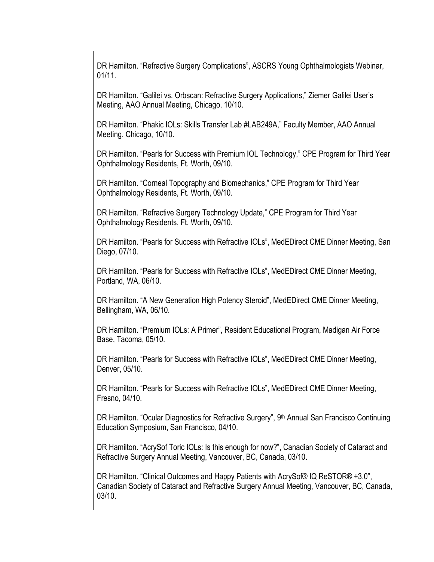DR Hamilton. "Refractive Surgery Complications", ASCRS Young Ophthalmologists Webinar, 01/11.

DR Hamilton. "Galilei vs. Orbscan: Refractive Surgery Applications," Ziemer Galilei User's Meeting, AAO Annual Meeting, Chicago, 10/10.

DR Hamilton. "Phakic IOLs: Skills Transfer Lab #LAB249A," Faculty Member, AAO Annual Meeting, Chicago, 10/10.

DR Hamilton. "Pearls for Success with Premium IOL Technology," CPE Program for Third Year Ophthalmology Residents, Ft. Worth, 09/10.

DR Hamilton. "Corneal Topography and Biomechanics," CPE Program for Third Year Ophthalmology Residents, Ft. Worth, 09/10.

DR Hamilton. "Refractive Surgery Technology Update," CPE Program for Third Year Ophthalmology Residents, Ft. Worth, 09/10.

DR Hamilton. "Pearls for Success with Refractive IOLs", MedEDirect CME Dinner Meeting, San Diego, 07/10.

DR Hamilton. "Pearls for Success with Refractive IOLs", MedEDirect CME Dinner Meeting, Portland, WA, 06/10.

DR Hamilton. "A New Generation High Potency Steroid", MedEDirect CME Dinner Meeting, Bellingham, WA, 06/10.

DR Hamilton. "Premium IOLs: A Primer", Resident Educational Program, Madigan Air Force Base, Tacoma, 05/10.

DR Hamilton. "Pearls for Success with Refractive IOLs", MedEDirect CME Dinner Meeting, Denver, 05/10.

DR Hamilton. "Pearls for Success with Refractive IOLs", MedEDirect CME Dinner Meeting, Fresno, 04/10.

DR Hamilton. "Ocular Diagnostics for Refractive Surgery", 9<sup>th</sup> Annual San Francisco Continuing Education Symposium, San Francisco, 04/10.

DR Hamilton. "AcrySof Toric IOLs: Is this enough for now?", Canadian Society of Cataract and Refractive Surgery Annual Meeting, Vancouver, BC, Canada, 03/10.

DR Hamilton. "Clinical Outcomes and Happy Patients with AcrySof® IQ ReSTOR® +3.0", Canadian Society of Cataract and Refractive Surgery Annual Meeting, Vancouver, BC, Canada, 03/10.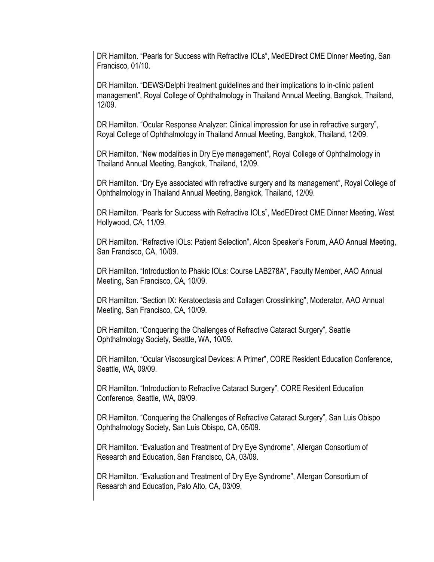DR Hamilton. "Pearls for Success with Refractive IOLs", MedEDirect CME Dinner Meeting, San Francisco, 01/10.

DR Hamilton. "DEWS/Delphi treatment guidelines and their implications to in-clinic patient management", Royal College of Ophthalmology in Thailand Annual Meeting, Bangkok, Thailand, 12/09.

DR Hamilton. "Ocular Response Analyzer: Clinical impression for use in refractive surgery", Royal College of Ophthalmology in Thailand Annual Meeting, Bangkok, Thailand, 12/09.

DR Hamilton. "New modalities in Dry Eye management", Royal College of Ophthalmology in Thailand Annual Meeting, Bangkok, Thailand, 12/09.

DR Hamilton. "Dry Eye associated with refractive surgery and its management", Royal College of Ophthalmology in Thailand Annual Meeting, Bangkok, Thailand, 12/09.

DR Hamilton. "Pearls for Success with Refractive IOLs", MedEDirect CME Dinner Meeting, West Hollywood, CA, 11/09.

DR Hamilton. "Refractive IOLs: Patient Selection", Alcon Speaker's Forum, AAO Annual Meeting, San Francisco, CA, 10/09.

DR Hamilton. "Introduction to Phakic IOLs: Course LAB278A", Faculty Member, AAO Annual Meeting, San Francisco, CA, 10/09.

DR Hamilton. "Section IX: Keratoectasia and Collagen Crosslinking", Moderator, AAO Annual Meeting, San Francisco, CA, 10/09.

DR Hamilton. "Conquering the Challenges of Refractive Cataract Surgery", Seattle Ophthalmology Society, Seattle, WA, 10/09.

DR Hamilton. "Ocular Viscosurgical Devices: A Primer", CORE Resident Education Conference, Seattle, WA, 09/09.

DR Hamilton. "Introduction to Refractive Cataract Surgery", CORE Resident Education Conference, Seattle, WA, 09/09.

DR Hamilton. "Conquering the Challenges of Refractive Cataract Surgery", San Luis Obispo Ophthalmology Society, San Luis Obispo, CA, 05/09.

DR Hamilton. "Evaluation and Treatment of Dry Eye Syndrome", Allergan Consortium of Research and Education, San Francisco, CA, 03/09.

DR Hamilton. "Evaluation and Treatment of Dry Eye Syndrome", Allergan Consortium of Research and Education, Palo Alto, CA, 03/09.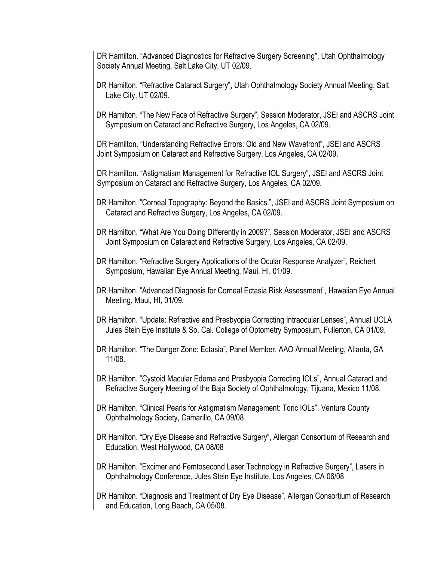DR Hamilton. "Advanced Diagnostics for Refractive Surgery Screening", Utah Ophthalmology Society Annual Meeting, Salt Lake City, UT 02/09.

- DR Hamilton. "Refractive Cataract Surgery", Utah Ophthalmology Society Annual Meeting, Salt Lake City, UT 02/09.
- DR Hamilton. "The New Face of Refractive Surgery", Session Moderator, JSEI and ASCRS Joint Symposium on Cataract and Refractive Surgery, Los Angeles, CA 02/09.

DR Hamilton. "Understanding Refractive Errors: Old and New Wavefront", JSEI and ASCRS Joint Symposium on Cataract and Refractive Surgery, Los Angeles, CA 02/09.

DR Hamilton. "Astigmatism Management for Refractive IOL Surgery", JSEI and ASCRS Joint Symposium on Cataract and Refractive Surgery, Los Angeles, CA 02/09.

- DR Hamilton. "Corneal Topography: Beyond the Basics.", JSEI and ASCRS Joint Symposium on Cataract and Refractive Surgery, Los Angeles, CA 02/09.
- DR Hamilton. "What Are You Doing Differently in 2009?", Session Moderator, JSEI and ASCRS Joint Symposium on Cataract and Refractive Surgery, Los Angeles, CA 02/09.
- DR Hamilton. "Refractive Surgery Applications of the Ocular Response Analyzer", Reichert Symposium, Hawaiian Eye Annual Meeting, Maui, HI, 01/09.
- DR Hamilton. "Advanced Diagnosis for Corneal Ectasia Risk Assessment", Hawaiian Eye Annual Meeting, Maui, HI, 01/09.
- DR Hamilton. "Update: Refractive and Presbyopia Correcting Intraocular Lenses", Annual UCLA Jules Stein Eye Institute & So. Cal. College of Optometry Symposium, Fullerton, CA 01/09.
- DR Hamilton. "The Danger Zone: Ectasia", Panel Member, AAO Annual Meeting, Atlanta, GA 11/08.
- DR Hamilton. "Cystoid Macular Edema and Presbyopia Correcting IOLs", Annual Cataract and Refractive Surgery Meeting of the Baja Society of Ophthalmology, Tijuana, Mexico 11/08.
- DR Hamilton. "Clinical Pearls for Astigmatism Management: Toric IOLs". Ventura County Ophthalmology Society, Camarillo, CA 09/08
- DR Hamilton. "Dry Eye Disease and Refractive Surgery", Allergan Consortium of Research and Education, West Hollywood, CA 08/08
- DR Hamilton. "Excimer and Femtosecond Laser Technology in Refractive Surgery", Lasers in Ophthalmology Conference, Jules Stein Eye Institute, Los Angeles, CA 06/08
- DR Hamilton. "Diagnosis and Treatment of Dry Eye Disease", Allergan Consortium of Research and Education, Long Beach, CA 05/08.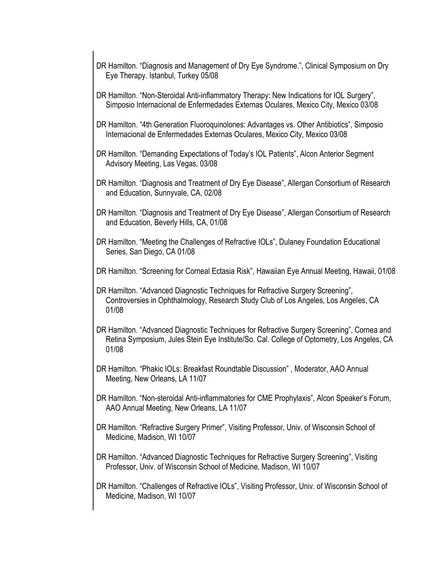- DR Hamilton. "Diagnosis and Management of Dry Eye Syndrome.", Clinical Symposium on Dry Eye Therapy. Istanbul, Turkey 05/08
- DR Hamilton. "Non-Steroidal Anti-inflammatory Therapy: New Indications for IOL Surgery", Simposio Internacional de Enfermedades Externas Oculares, Mexico City, Mexico 03/08
- DR Hamilton. "4th Generation Fluoroquinolones: Advantages vs. Other Antibiotics", Simposio Internacional de Enfermedades Externas Oculares, Mexico City, Mexico 03/08
- DR Hamilton. "Demanding Expectations of Today's IOL Patients", Alcon Anterior Segment Advisory Meeting, Las Vegas, 03/08
- DR Hamilton. "Diagnosis and Treatment of Dry Eye Disease", Allergan Consortium of Research and Education, Sunnyvale, CA, 02/08
- DR Hamilton. "Diagnosis and Treatment of Dry Eye Disease", Allergan Consortium of Research and Education, Beverly Hills, CA, 01/08
- DR Hamilton. "Meeting the Challenges of Refractive IOLs", Dulaney Foundation Educational Series, San Diego, CA 01/08
- DR Hamilton. "Screening for Corneal Ectasia Risk", Hawaiian Eye Annual Meeting, Hawaii, 01/08
- DR Hamilton. "Advanced Diagnostic Techniques for Refractive Surgery Screening", Controversies in Ophthalmology, Research Study Club of Los Angeles, Los Angeles, CA 01/08
- DR Hamilton. "Advanced Diagnostic Techniques for Refractive Surgery Screening", Cornea and Retina Symposium, Jules Stein Eye Institute/So. Cal. College of Optometry, Los Angeles, CA 01/08
- DR Hamilton. "Phakic IOLs: Breakfast Roundtable Discussion" , Moderator, AAO Annual Meeting, New Orleans, LA 11/07
- DR Hamilton. "Non-steroidal Anti-inflammatories for CME Prophylaxis", Alcon Speaker's Forum, AAO Annual Meeting, New Orleans, LA 11/07
- DR Hamilton. "Refractive Surgery Primer", Visiting Professor, Univ. of Wisconsin School of Medicine, Madison, WI 10/07
- DR Hamilton. "Advanced Diagnostic Techniques for Refractive Surgery Screening", Visiting Professor, Univ. of Wisconsin School of Medicine, Madison, WI 10/07
- DR Hamilton. "Challenges of Refractive IOLs", Visiting Professor, Univ. of Wisconsin School of Medicine, Madison, WI 10/07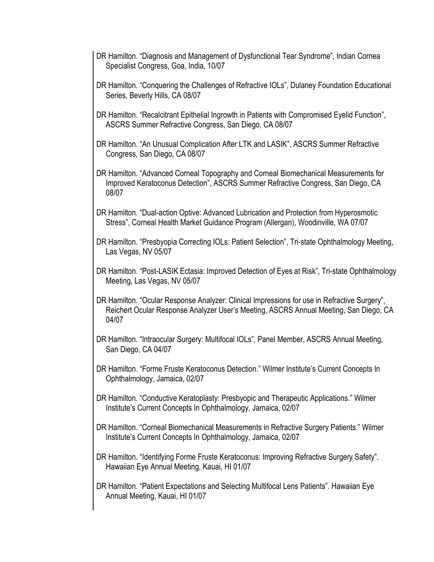- DR Hamilton. "Diagnosis and Management of Dysfunctional Tear Syndrome", Indian Cornea Specialist Congress, Goa, India, 10/07
- DR Hamilton. "Conquering the Challenges of Refractive IOLs", Dulaney Foundation Educational Series, Beverly Hills, CA 08/07
- DR Hamilton. "Recalcitrant Epithelial Ingrowth in Patients with Compromised Eyelid Function", ASCRS Summer Refractive Congress, San Diego, CA 08/07
- DR Hamilton. "An Unusual Complication After LTK and LASIK", ASCRS Summer Refractive Congress, San Diego, CA 08/07
- DR Hamilton. "Advanced Corneal Topography and Corneal Biomechanical Measurements for Improved Keratoconus Detection", ASCRS Summer Refractive Congress, San Diego, CA 08/07
- DR Hamilton. "Dual-action Optive: Advanced Lubrication and Protection from Hyperosmotic Stress", Corneal Health Market Guidance Program (Allergan), Woodinville, WA 07/07
- DR Hamilton. "Presbyopia Correcting IOLs: Patient Selection", Tri-state Ophthalmology Meeting, Las Vegas, NV 05/07
- DR Hamilton. "Post-LASIK Ectasia: Improved Detection of Eyes at Risk", Tri-state Ophthalmology Meeting, Las Vegas, NV 05/07
- DR Hamilton. "Ocular Response Analyzer: Clinical Impressions for use in Refractive Surgery", Reichert Ocular Response Analyzer User's Meeting, ASCRS Annual Meeting, San Diego, CA 04/07
- DR Hamilton. "Intraocular Surgery: Multifocal IOLs", Panel Member, ASCRS Annual Meeting, San Diego, CA 04/07
- DR Hamilton. "Forme Fruste Keratoconus Detection." Wilmer Institute's Current Concepts In Ophthalmology, Jamaica, 02/07
- DR Hamilton. "Conductive Keratoplasty: Presbyopic and Therapeutic Applications." Wilmer Institute's Current Concepts In Ophthalmology, Jamaica, 02/07
- DR Hamilton. "Corneal Biomechanical Measurements in Refractive Surgery Patients." Wilmer Institute's Current Concepts In Ophthalmology, Jamaica, 02/07
- DR Hamilton. "Identifying Forme Fruste Keratoconus: Improving Refractive Surgery Safety". Hawaiian Eye Annual Meeting, Kauai, HI 01/07
- DR Hamilton. "Patient Expectations and Selecting Multifocal Lens Patients". Hawaiian Eye Annual Meeting, Kauai, HI 01/07